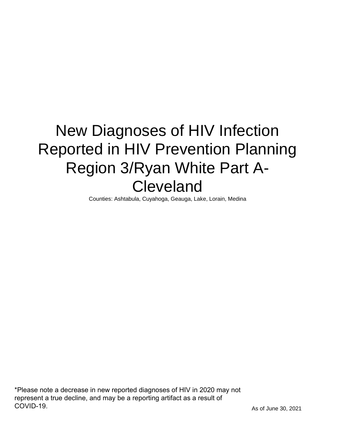# New Diagnoses of HIV Infection Reported in HIV Prevention Planning Region 3/Ryan White Part A-Cleveland

Counties: Ashtabula, Cuyahoga, Geauga, Lake, Lorain, Medina

\*Please note a decrease in new reported diagnoses of HIV in 2020 may not represent a true decline, and may be a reporting artifact as a result of COVID-19.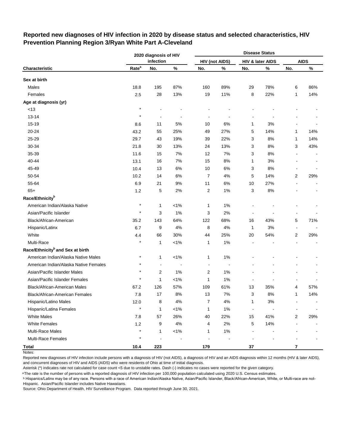|                                              | 2020 diagnosis of HIV |                |                |                |                       | <b>Disease Status</b>    |                  |                |             |
|----------------------------------------------|-----------------------|----------------|----------------|----------------|-----------------------|--------------------------|------------------|----------------|-------------|
|                                              |                       | infection      |                |                | <b>HIV (not AIDS)</b> |                          | HIV & later AIDS |                | <b>AIDS</b> |
| Characteristic                               | Rate <sup>a</sup>     | No.            | $\%$           | No.            | $\%$                  | No.                      | $\%$             | No.            | %           |
| Sex at birth                                 |                       |                |                |                |                       |                          |                  |                |             |
| Males                                        | 18.8                  | 195            | 87%            | 160            | 89%                   | 29                       | 78%              | 6              | 86%         |
| Females                                      | 2.5                   | 28             | 13%            | 19             | 11%                   | 8                        | 22%              | 1              | 14%         |
| Age at diagnosis (yr)                        |                       |                |                |                |                       |                          |                  |                |             |
| < 13                                         | $\star$               |                |                |                |                       |                          |                  |                |             |
| 13-14                                        | $\star$               |                |                |                |                       |                          |                  |                |             |
| 15-19                                        | 8.6                   | 11             | 5%             | 10             | 6%                    | 1                        | 3%               |                |             |
| 20-24                                        | 43.2                  | 55             | 25%            | 49             | 27%                   | 5                        | 14%              | 1              | 14%         |
| 25-29                                        | 29.7                  | 43             | 19%            | 39             | 22%                   | 3                        | 8%               | 1              | 14%         |
| 30-34                                        | 21.8                  | 30             | 13%            | 24             | 13%                   | 3                        | 8%               | 3              | 43%         |
| 35-39                                        | 11.6                  | 15             | 7%             | 12             | 7%                    | 3                        | 8%               |                |             |
| 40-44                                        | 13.1                  | 16             | 7%             | 15             | 8%                    | 1                        | 3%               |                |             |
| 45-49                                        | 10.4                  | 13             | 6%             | 10             | $6\%$                 | 3                        | 8%               |                |             |
| 50-54                                        | 10.2                  | 14             | 6%             | 7              | 4%                    | 5                        | 14%              | $\overline{2}$ | 29%         |
| 55-64                                        | 6.9                   | 21             | 9%             | 11             | 6%                    | 10                       | 27%              |                |             |
| $65+$                                        | 1.2                   | 5              | 2%             | 2              | 1%                    | 3                        | 8%               |                |             |
| Race/Ethnicity <sup>b</sup>                  |                       |                |                |                |                       |                          |                  |                |             |
| American Indian/Alaska Native                | $\ast$                | 1              | $< 1\%$        | 1              | 1%                    |                          |                  |                |             |
| Asian/Pacific Islander                       | $\star$               | 3              | 1%             | 3              | 2%                    | $\overline{a}$           |                  |                |             |
| Black/African-American                       | 35.2                  | 143            | 64%            | 122            | 68%                   | 16                       | 43%              | 5              | 71%         |
| Hispanic/Latinx                              | 6.7                   | 9              | 4%             | 8              | 4%                    | 1                        | 3%               | $\overline{a}$ |             |
| White                                        | 4.4                   | 66             | 30%            | 44             | 25%                   | 20                       | 54%              | $\overline{2}$ | 29%         |
| Multi-Race                                   | $\star$               | 1              | $< 1\%$        | 1              | 1%                    |                          |                  |                |             |
| Race/Ethnicity <sup>b</sup> and Sex at birth |                       |                |                |                |                       |                          |                  |                |             |
| American Indian/Alaska Native Males          | $^{\ast}$             | 1              | $< 1\%$        | 1              | 1%                    |                          |                  |                |             |
| American Indian/Alaska Native Females        | $\star$               | $\overline{a}$ | $\blacksquare$ | $\blacksquare$ | $\blacksquare$        |                          |                  |                |             |
| Asian/Pacific Islander Males                 | $\star$               | 2              | 1%             | 2              | 1%                    |                          |                  |                |             |
| Asian/Pacific Islander Females               | $\star$               | $\mathbf{1}$   | $< 1\%$        | $\mathbf{1}$   | 1%                    |                          |                  |                |             |
| Black/African-American Males                 | 67.2                  | 126            | 57%            | 109            | 61%                   | 13                       | 35%              | 4              | 57%         |
| Black/African-American Females               | 7.8                   | 17             | 8%             | 13             | 7%                    | 3                        | 8%               | 1              | 14%         |
| Hispanic/Latino Males                        | 12.0                  | 8              | 4%             | 7              | 4%                    | 1                        | 3%               |                |             |
| Hispanic/Latina Females                      | $\star$               | $\mathbf{1}$   | $< 1\%$        | 1              | $1\%$                 | $\overline{\phantom{a}}$ |                  |                |             |
| <b>White Males</b>                           | 7.8                   | 57             | 26%            | 40             | 22%                   | 15                       | 41%              | 2              | 29%         |
| <b>White Females</b>                         | $1.2$                 | 9              | 4%             | 4              | 2%                    | 5                        | 14%              |                |             |
| Multi-Race Males                             | $\star$               | 1              | $< 1\%$        | 1              | 1%                    |                          |                  |                |             |
| <b>Multi-Race Females</b>                    | $\star$               |                |                |                |                       |                          |                  |                |             |
| Total                                        | 10.4                  | 223            |                | 179            |                       | $37\,$                   |                  | 7              |             |

# **Reported new diagnoses of HIV infection in 2020 by disease status and selected characteristics, HIV Prevention Planning Region 3/Ryan White Part A-Cleveland**

Notes:

Reported new diagnoses of HIV infection include persons with a diagnosis of HIV (not AIDS), a diagnosis of HIV and an AIDS diagnosis within 12 months (HIV & later AIDS), and concurrent diagnoses of HIV and AIDS (AIDS) who were residents of Ohio at time of initial diagnosis.

Asterisk (\*) indicates rate not calculated for case count <5 due to unstable rates. Dash (-) indicates no cases were reported for the given category.

<sup>a</sup>The rate is the number of persons with a reported diagnosis of HIV infection per 100,000 population calculated using 2020 U.S. Census estimates.

ᵇ Hispanics/Latinx may be of any race. Persons with a race of American Indian/Alaska Native, Asian/Pacific Islander, Black/African-American, White, or Multi-race are not-Hispanic. Asian/Pacific Islander includes Native Hawaiians.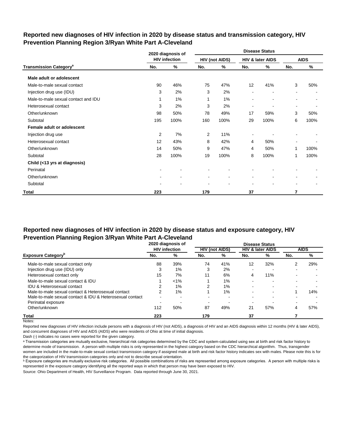# **Reported new diagnoses of HIV infection in 2020 by disease status and transmission category, HIV Prevention Planning Region 3/Ryan White Part A-Cleveland**

|                                          |                | 2020 diagnosis of    |                |                       |                          | <b>Disease Status</b>    |                          |             |
|------------------------------------------|----------------|----------------------|----------------|-----------------------|--------------------------|--------------------------|--------------------------|-------------|
|                                          |                | <b>HIV infection</b> |                | <b>HIV (not AIDS)</b> |                          | HIV & later AIDS         |                          | <b>AIDS</b> |
| <b>Transmission Category<sup>a</sup></b> | No.            | %                    | No.            | ℅                     | No.                      | %                        | No.                      | $\%$        |
| Male adult or adolescent                 |                |                      |                |                       |                          |                          |                          |             |
| Male-to-male sexual contact              | 90             | 46%                  | 75             | 47%                   | 12                       | 41%                      | 3                        | 50%         |
| Injection drug use (IDU)                 | 3              | 2%                   | 3              | 2%                    |                          | $\blacksquare$           | $\blacksquare$           |             |
| Male-to-male sexual contact and IDU      | 1              | 1%                   | 1              | 1%                    | $\blacksquare$           | $\blacksquare$           | $\overline{\phantom{a}}$ | ٠           |
| Heterosexual contact                     | 3              | 2%                   | 3              | 2%                    | $\overline{\phantom{a}}$ |                          | $\blacksquare$           |             |
| Other/unknown                            | 98             | 50%                  | 78             | 49%                   | 17                       | 59%                      | 3                        | 50%         |
| Subtotal                                 | 195            | 100%                 | 160            | 100%                  | 29                       | 100%                     | 6                        | 100%        |
| Female adult or adolescent               |                |                      |                |                       |                          |                          |                          |             |
| Injection drug use                       | $\overline{2}$ | 7%                   | $\overline{2}$ | 11%                   |                          |                          |                          |             |
| Heterosexual contact                     | 12             | 43%                  | 8              | 42%                   | 4                        | 50%                      |                          |             |
| Other/unknown                            | 14             | 50%                  | 9              | 47%                   | 4                        | 50%                      | 1                        | 100%        |
| Subtotal                                 | 28             | 100%                 | 19             | 100%                  | 8                        | 100%                     | 1                        | 100%        |
| Child (<13 yrs at diagnosis)             |                |                      |                |                       |                          |                          |                          |             |
| Perinatal                                |                |                      |                |                       |                          |                          |                          |             |
| Other/unknown                            |                |                      |                | ۰                     |                          |                          | ۰                        |             |
| Subtotal                                 |                |                      |                |                       |                          | $\overline{\phantom{a}}$ | $\blacksquare$           |             |
| Total                                    | 223            |                      | 179            |                       | 37                       |                          | 7                        |             |

# **Reported new diagnoses of HIV infection in 2020 by disease status and exposure category, HIV Prevention Planning Region 3/Ryan White Part A-Cleveland**

|                                                          | 2020 diagnosis of |                      | <b>Disease Status</b> |                       |                          |                             |     |             |
|----------------------------------------------------------|-------------------|----------------------|-----------------------|-----------------------|--------------------------|-----------------------------|-----|-------------|
|                                                          |                   | <b>HIV</b> infection |                       | <b>HIV (not AIDS)</b> |                          | <b>HIV &amp; later AIDS</b> |     | <b>AIDS</b> |
| <b>Exposure Category</b> <sup>P</sup>                    | No.               | %                    | No.                   | %                     | No.                      | %                           | No. | %           |
| Male-to-male sexual contact only                         | 88                | 39%                  | 74                    | 41%                   | 12                       | 32%                         | 2   | 29%         |
| Injection drug use (IDU) only                            | 3                 | 1%                   | 3                     | 2%                    | -                        | -                           |     |             |
| Heterosexual contact only                                | 15                | 7%                   | 11                    | 6%                    | 4                        | 11%                         |     |             |
| Male-to-male sexual contact & IDU                        |                   | $< 1\%$              |                       | 1%                    | $\overline{\phantom{0}}$ | $\overline{\phantom{0}}$    |     |             |
| <b>IDU &amp; Heterosexual contact</b>                    |                   | 1%                   | 2                     | 1%                    | ٠                        | $\overline{\phantom{0}}$    |     |             |
| Male-to-male sexual contact & Heterosexual contact       | 2                 | 1%                   |                       | 1%                    |                          | $\overline{\phantom{0}}$    |     | 14%         |
| Male-to-male sexual contact & IDU & Heterosexual contact | $\blacksquare$    |                      |                       |                       |                          |                             |     |             |
| Perinatal exposure                                       | -                 |                      |                       |                       | -                        |                             |     |             |
| Other/unknown                                            | 112               | 50%                  | 87                    | 49%                   | 21                       | 57%                         | 4   | 57%         |
| <b>Total</b>                                             | 223               |                      | 179                   |                       | 37                       |                             |     |             |

Notes:

Reported new diagnoses of HIV infection include persons with a diagnosis of HIV (not AIDS), a diagnosis of HIV and an AIDS diagnosis within 12 months (HIV & later AIDS), and concurrent diagnoses of HIV and AIDS (AIDS) who were residents of Ohio at time of initial diagnosis.

Dash (-) indicates no cases were reported for the given category.

a Transmission categories are mutually exclusive, hierarchical risk categories determined by the CDC and system-calculated using sex at birth and risk factor history to determine mode of transmission. A person with multiple risks is only represented in the highest category based on the CDC hierarchical algorithm. Thus, transgender women are included in the male-to-male sexual contact transmission category if assigned male at birth and risk factor history indicates sex with males. Please note this is for the categorization of HIV transmission categories only and not to describe sexual orientation.

**b** Exposure categories are mutually exclusive risk categories. All possible combinations of risks are represented among exposure categories. A person with multiple risks is represented in the exposure category identifying all the reported ways in which that person may have been exposed to HIV.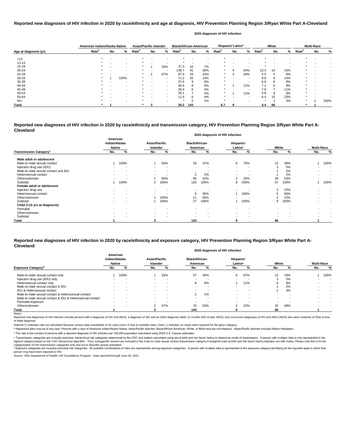|                       | American Indian/Alaska Native |                          |                          | Asian/Pacific Islander   |        |        | <b>Black/African-American</b> |     |                          |                   | Hispanic/Latinx <sup>a</sup> |                          |                   | White  |     |                          | <b>Multi-Race</b> |      |
|-----------------------|-------------------------------|--------------------------|--------------------------|--------------------------|--------|--------|-------------------------------|-----|--------------------------|-------------------|------------------------------|--------------------------|-------------------|--------|-----|--------------------------|-------------------|------|
| Age at diagnosis (yr) | Rate <sup>b</sup>             | No.                      | %                        | <b>Rate</b> <sup>b</sup> | No.    | %      | Rate <sup>r</sup>             | No. | %                        | Rate <sup>b</sup> | No.                          | %                        | Rate <sup>p</sup> | No.    | %   | <b>Rate</b> <sup>p</sup> | No.               | %    |
| < 13                  |                               |                          |                          |                          |        |        |                               |     |                          |                   |                              |                          |                   |        |     |                          |                   |      |
| $13 - 14$             |                               |                          | $\overline{\phantom{a}}$ |                          |        |        |                               |     | $\overline{\phantom{a}}$ |                   |                              |                          |                   |        |     |                          |                   |      |
| $15 - 19$             |                               | -                        | $\sim$                   |                          |        | 33%    | 37.3                          | 10  | 7%                       | $\ast$            |                              |                          |                   | -      |     |                          |                   |      |
| $20 - 24$             |                               |                          |                          | ÷                        |        |        | 148.7                         | -41 | 29%                      | $\ast$            | 4                            | 44%                      | 12.4              | 10     | 15% | $\star$                  |                   |      |
| $25 - 29$             |                               |                          |                          |                          | $\sim$ | 67%    | 97.9                          | 33  | 23%                      | $\ast$            | ◠<br>-5                      | 33%                      | 5.5               |        | 8%  | $\star$                  |                   |      |
| 30-34                 |                               |                          | 100%                     |                          |        | $\sim$ | 71.2                          | 20  | 14%                      |                   |                              |                          | 9.9               | 9      | 14% | $\star$                  |                   |      |
| 35-39                 |                               |                          |                          |                          |        | $\sim$ | 37.6                          | 9   | 6%                       | $\ast$            |                              |                          | 6.8               | 6      | 9%  | $\ast$                   |                   |      |
| 40-44                 |                               |                          | $\overline{\phantom{a}}$ |                          |        | $\sim$ | 40.4                          |     | 6%                       | $\ast$            |                              | 11%                      | 7.1               | 6      | 9%  | $\star$                  |                   |      |
| 45-49                 |                               |                          |                          |                          |        | $\sim$ | 26.4                          |     | 4%                       | $\ast$            |                              |                          | 7.8               |        | 11% | $\star$                  |                   |      |
| 50-54                 |                               |                          | . .                      |                          |        | $\sim$ | 30.1                          |     | 5%                       | $\ast$            |                              | 11%                      | 5.8               | 'n     | 9%  | $\star$                  |                   |      |
| 55-64                 |                               |                          |                          |                          |        | $\sim$ | 11.5                          | 6   | 4%                       |                   |                              |                          | 6.4               | 15     | 23% | $\star$                  |                   |      |
| $65+$                 |                               | $\overline{\phantom{0}}$ | $\,$ $\,$                |                          |        |        | $\star$                       | c   | 1%                       | $\ast$            |                              | $\overline{\phantom{a}}$ |                   | $\sim$ | 3%  | $\star$                  |                   | 100% |
| Total                 |                               |                          |                          |                          |        |        | 35.2                          | 143 |                          | 6.7               | 9                            |                          | 4.4               | 66     |     |                          |                   |      |

Reported new diagnoses of HIV infection include persons with a diagnosis of HIV (not AIDS), a diagnosis of HIV and an AIDS diagnosis within 12 months (HIV & later AIDS), and concurrent diagnoses of HIV and AIDS (AIDS) who of initial diagnosis.

|                                           |                                            |                          |                                         |                          |                                   | <b>2020 diagnosis of HIV Infection</b> |                                  |                          |                          |      |     |                   |
|-------------------------------------------|--------------------------------------------|--------------------------|-----------------------------------------|--------------------------|-----------------------------------|----------------------------------------|----------------------------------|--------------------------|--------------------------|------|-----|-------------------|
|                                           | American<br>Indian/Alaska<br><b>Native</b> |                          | <b>Asian/Pacific</b><br><b>Islander</b> |                          | <b>Black/African-</b><br>American |                                        | Hispanic/<br>Latinx <sup>a</sup> |                          | White                    |      |     | <b>Multi-Race</b> |
| <b>Transmission Category</b> <sup>c</sup> | No.                                        | %                        | No.                                     | %                        | No.                               | %                                      | No.                              | %                        | No.                      | %    | No. | %                 |
| Male adult or adolescent                  |                                            |                          |                                         |                          |                                   |                                        |                                  |                          |                          |      |     |                   |
| Male-to-male sexual contact               |                                            | 100%                     |                                         | 50%                      | 59                                | 47%                                    | 6                                | 75%                      | 22                       | 39%  |     | 100%              |
| Injection drug use (IDU)                  |                                            |                          | $\sim$                                  |                          |                                   |                                        | $\blacksquare$                   |                          | 3                        | 5%   |     |                   |
| Male-to-male sexual contact and IDU       | $\overline{\phantom{0}}$                   | $\overline{\phantom{a}}$ | $\sim$                                  | $\overline{\phantom{a}}$ |                                   |                                        | $\blacksquare$                   | $\overline{\phantom{a}}$ |                          | 2%   |     | $\sim$            |
| Heterosexual contact                      |                                            |                          |                                         |                          | 2                                 | 2%                                     |                                  |                          |                          | 2%   |     |                   |
| Other/unknown                             | $\overline{\phantom{0}}$                   |                          |                                         | 50%                      | 65                                | 52%                                    |                                  | 25%                      | 30                       | 53%  |     | $\sim$            |
| Subtotal                                  |                                            | 100%                     | $\overline{2}$                          | 100%                     | 126                               | 100%                                   | 8                                | 100%                     | 57                       | 100% |     | 100%              |
| Female adult or adolescent                |                                            |                          |                                         |                          |                                   |                                        |                                  |                          |                          |      |     |                   |
| Injection drug use                        | $\blacksquare$                             | $\sim$                   | $\sim$                                  | $\overline{\phantom{a}}$ |                                   |                                        | $\overline{\phantom{0}}$         |                          | 2                        | 22%  |     |                   |
| Heterosexual contact                      |                                            |                          |                                         |                          | 6                                 | 35%                                    |                                  | 100%                     | 5                        | 56%  |     |                   |
| Other/unknown                             |                                            |                          |                                         | 100%                     | 11                                | 65%                                    |                                  |                          |                          | 22%  |     | $\,$              |
| Subtotal                                  | $\blacksquare$                             | $\sim$                   |                                         | 100%                     | 17                                | 100%                                   |                                  | 100%                     | 9                        | 100% |     | $\blacksquare$    |
| Child (<13 yrs at diagnosis)              |                                            |                          |                                         |                          |                                   |                                        |                                  |                          |                          |      |     |                   |
| Perinatal                                 | $\sim$                                     |                          | $\sim$                                  | $\overline{\phantom{a}}$ |                                   |                                        | $\blacksquare$                   | $\overline{\phantom{a}}$ |                          |      |     |                   |
| Other/unknown                             |                                            |                          | $\sim$                                  | $\overline{\phantom{a}}$ |                                   |                                        | $\blacksquare$                   |                          | $\overline{\phantom{0}}$ |      |     |                   |
| Subtotal                                  |                                            |                          | $\overline{\phantom{a}}$                |                          |                                   |                                        | $\overline{\phantom{a}}$         |                          |                          |      |     |                   |
| Total                                     |                                            |                          |                                         |                          | 143                               |                                        | 9                                |                          | 66                       |      |     |                   |

© Transmission categories are mutually exclusive, hierarchical risk categories determined by the CDC and system-calculated using sex at birth and risk factor history to determine mode of transmission. A person with multip highest category based on the CDC hierarchical algorithm. Thus, transgender women are included in the male-to-male sexual contact transmission category if assigned male at birth and risk factor history indicates sex with m categorization of HIV transmission categories only and not to describe sexual orientation.

# **Reported new diagnoses of HIV infection in 2020 by race/ethnicity and age at diagnosis, HIV Prevention Planning Region 3/Ryan White Part A-Cleveland**

d Exposure categories are mutually exclusive risk categories. All possible combinations of risks are represented among exposure categories. A person with multiple risks is represented in the exposure category identifying a person may have been exposed to HIV.

Source: Ohio Department of Health, HIV Surveillance Program. Data reported through June 30, 2021.

#### **2020 diagnosis of HIV infection**

#### **Reported new diagnoses of HIV infection in 2020 by race/ethnicity and transmission category, HIV Prevention Planning Region 3/Ryan White Part A-Cleveland 2020 diagnosis of HIV infection**

|                                                          |                                            |                          |                                         |                          |                                   |     | 2020 diagnosis of HIV infection  |                          |                          |     |     |                   |
|----------------------------------------------------------|--------------------------------------------|--------------------------|-----------------------------------------|--------------------------|-----------------------------------|-----|----------------------------------|--------------------------|--------------------------|-----|-----|-------------------|
|                                                          | American<br>Indian/Alaska<br><b>Native</b> |                          | <b>Asian/Pacific</b><br><b>Islander</b> |                          | <b>Black/African-</b><br>American |     | Hispanic/<br>Latinx <sup>a</sup> |                          | White                    |     |     | <b>Multi-Race</b> |
| <b>Exposure Category</b> <sup>°</sup>                    | No.                                        | %                        | No.                                     | %                        | No.                               | %   | No.                              | %                        | No.                      | %   | No. | %                 |
| Male-to-male sexual contact only                         |                                            | 100%                     |                                         | 33%                      | 57                                | 40% | 6                                | 67%                      | 22                       | 33% |     | 100%              |
| Injection drug use (IDU) only                            |                                            |                          |                                         |                          |                                   |     |                                  |                          |                          | 5%  |     |                   |
| Heterosexual contact only                                | $\sim$                                     | $\overline{\phantom{a}}$ | $\sim$                                  | . .                      | 8                                 | 6%  |                                  | 11%                      | b                        | 9%  |     |                   |
| Male-to-male sexual contact & IDU                        |                                            | . .                      |                                         |                          |                                   |     |                                  |                          |                          | 2%  |     |                   |
| IDU & Heterosexual contact                               |                                            | . .                      | $\sim$                                  | . .                      | . .                               |     | $\sim$                           | -                        | $\sim$                   | 3%  |     |                   |
| Male-to-male sexual contact & Heterosexual contact       |                                            | . .                      | $\sim$                                  | $\overline{\phantom{a}}$ |                                   | 1%  | $\overline{\phantom{a}}$         | $\overline{\phantom{a}}$ | $\sim$                   |     |     |                   |
| Male-to-male sexual contact & IDU & Heterosexual contact |                                            |                          |                                         |                          |                                   |     |                                  | $\,$ $\,$                |                          |     |     |                   |
| Perinatal exposure                                       | $\sim$                                     | . .                      | $\sim$                                  |                          |                                   |     | $\overline{\phantom{0}}$         | . .                      | $\overline{\phantom{0}}$ |     |     |                   |
| Other/unknown                                            |                                            | . .                      | $\mathbf{2}^{\circ}$                    | 67%                      | 76                                | 53% | 2                                | 22%                      | 32                       | 48% |     |                   |
| Total                                                    |                                            |                          |                                         |                          | 143                               |     |                                  |                          | 66                       |     |     |                   |
| Notes:                                                   |                                            |                          |                                         |                          |                                   |     |                                  |                          |                          |     |     |                   |

#### **Reported new diagnoses of HIV infection in 2020 by race/ethnicity and exposure category, HIV Prevention Planning Region 3/Ryan White Part A-Cleveland 2020 diagnosis of HIV infection**

Asterisk (\*) indicates rate not calculated because census data unavailable or for case count <5 due to unstable rates. Dash (-) indicates no cases were reported for the given category.

a Hispanics/Latinx may be of any race. Persons with a race of American Indian/Alaska Native, Asian/Pacific Islander, Black/African-American, White, or Multi-race are not-Hispanic. Asian/Pacific Islander includes Native Haw

ᵇ The rate is the number of persons with a reported diagnosis of HIV infection per 100,000 population calculated using 2020 U.S. Census estimates.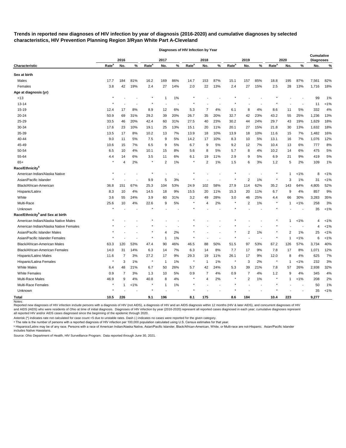**Trends in reported new diagnoses of HIV infection by year of diagnosis (2016-2020) and cumulative diagnoses by selected characteristics, HIV Prevention Planning Region 3/Ryan White Part A-Cleveland** 

|                                              |                   | 2016           |         |                   | 2017           |       |                   | 2018           |        |                   | 2019           |        |                   | 2020         |         | Cumulative<br><b>Diagnoses</b> |         |
|----------------------------------------------|-------------------|----------------|---------|-------------------|----------------|-------|-------------------|----------------|--------|-------------------|----------------|--------|-------------------|--------------|---------|--------------------------------|---------|
| <b>Characteristic</b>                        | Rate <sup>a</sup> | No.            | $\%$    | Rate <sup>a</sup> | No.            | %     | Rate <sup>a</sup> | No.            | %      | Rate <sup>a</sup> | No.            | %      | Rate <sup>a</sup> | No.          | %       | No.                            | ℀       |
| Sex at birth                                 |                   |                |         |                   |                |       |                   |                |        |                   |                |        |                   |              |         |                                |         |
| Males                                        | 17.7              | 184            | 81%     | 16.2              | 169            | 86%   | 14.7              | 153            | 87%    | 15.1              | 157            | 85%    | 18.8              | 195          | 87%     | 7,561                          | 82%     |
| Females                                      | 3.8               | 42             | 19%     | 2.4               | 27             | 14%   | 2.0               | 22             | 13%    | 2.4               | 27             | 15%    | 2.5               | 28           | 13%     | 1,716                          | 18%     |
| Age at diagnosis (yr)                        |                   |                |         |                   |                |       |                   |                |        |                   |                |        |                   |              |         |                                |         |
| < 13                                         |                   |                |         |                   | 1              | 1%    |                   |                |        |                   |                |        |                   |              |         | 99                             | 1%      |
| $13 - 14$                                    |                   |                |         |                   |                |       |                   |                |        |                   |                |        |                   |              |         | 11                             | $< 1\%$ |
| 15-19                                        | 12.4              | 17             | 8%      | 8.9               | 12             | 6%    | 5.3               | 7              | 4%     | 6.1               | 8              | 4%     | 8.6               | 11           | 5%      | 332                            | 4%      |
| 20-24                                        | 50.9              | 69             | 31%     | 29.2              | 39             | 20%   | 26.7              | 35             | 20%    | 32.7              | 42             | 23%    | 43.2              | 55           | 25%     | 1,236                          | 13%     |
| 25-29                                        | 33.5              | 46             | 20%     | 42.4              | 60             | 31%   | 27.5              | 40             | 23%    | 30.2              | 44             | 24%    | 29.7              | 43           | 19%     | 1,629                          | 18%     |
| 30-34                                        | 17.6              | 23             | 10%     | 19.1              | 25             | 13%   | 15.1              | 20             | 11%    | 20.1              | 27             | 15%    | 21.8              | 30           | 13%     | 1,632                          | 18%     |
| 35-39                                        | 13.5              | 17             | 8%      | 10.2              | 13             | 7%    | 13.9              | 18             | 10%    | 13.9              | 18             | 10%    | 11.6              | 15           | 7%      | 1,482                          | 16%     |
| 40-44                                        | 9.0               | 11             | 5%      | 7.5               | 9              | 5%    | 14.2              | 17             | 10%    | 8.3               | 10             | 5%     | 13.1              | 16           | 7%      | 1,076                          | 12%     |
| 45-49                                        | 10.6              | 15             | 7%      | 6.5               | 9              | 5%    | 6.7               | 9              | 5%     | 9.2               | 12             | 7%     | 10.4              | 13           | 6%      | 777                            | 8%      |
| 50-54                                        | 6.5               | 10             | 4%      | 10.1              | 15             | 8%    | 5.6               | 8              | 5%     | 5.7               | 8              | 4%     | 10.2              | 14           | 6%      | 475                            | 5%      |
| 55-64                                        | 4.4               | 14             | 6%      | 3.5               | 11             | 6%    | 6.1               | 19             | 11%    | 2.9               | 9              | 5%     | 6.9               | 21           | 9%      | 419                            | 5%      |
| $65+$                                        |                   | 4              | 2%      | $\star$           | $\overline{2}$ | 1%    | $\star$           | $\overline{2}$ | 1%     | 1.5               | 6              | 3%     | 1.2               | 5            | 2%      | 109                            | 1%      |
| Race/Ethnicity <sup>b</sup>                  |                   |                |         |                   |                |       |                   |                |        |                   |                |        |                   |              |         |                                |         |
| American Indian/Alaska Native                |                   |                |         |                   |                |       |                   |                |        |                   |                |        |                   | 1            | $< 1\%$ | 8                              | $< 1\%$ |
| Asian/Pacific Islander                       |                   |                |         | 9.9               | 5              | 3%    |                   |                |        |                   | 2              | 1%     |                   | 3            | $1\%$   | 31                             | < 1%    |
| Black/African-American                       | 36.8              | 151            | 67%     | 25.3              | 104            | 53%   | 24.9              | 102            | 58%    | 27.9              | 114            | 62%    | 35.2              | 143          | 64%     | 4,805                          | 52%     |
| Hispanic/Latinx                              | 8.3               | 10             | 4%      | 14.5              | 18             | 9%    | 15.5              | 20             | 11%    | 15.3              | 20             | 11%    | 6.7               | 9            | 4%      | 857                            | 9%      |
| White                                        | 3.6               | 55             | 24%     | 3.9               | 60             | 31%   | 3.2               | 49             | 28%    | 3.0               | 46             | 25%    | 4.4               | 66           | 30%     | 3,283                          | 35%     |
| Multi-Race                                   | 25.6              | 10             | 4%      | 22.6              | 9              | 5%    | $\ast$            | 4              | 2%     | $\ast$            | 2              | 1%     | $\star$           | 1            | $< 1\%$ | 258                            | 3%      |
| Unknown                                      |                   |                |         |                   |                |       |                   |                |        |                   |                |        |                   |              |         | 35                             | < 1%    |
| Race/Ethnicity <sup>b</sup> and Sex at birth |                   |                |         |                   |                |       |                   |                |        |                   |                |        |                   |              |         |                                |         |
| American Indian/Alaska Native Males          |                   |                |         |                   |                |       |                   |                |        |                   |                |        |                   | 1            | $< 1\%$ | 4                              | $< 1\%$ |
| American Indian/Alaska Native Females        |                   |                |         |                   |                |       |                   |                |        |                   |                |        |                   |              |         | 4                              | < 1%    |
| Asian/Pacific Islander Males                 |                   |                |         |                   | 4              | 2%    |                   |                |        |                   | $\overline{2}$ | 1%     |                   | 2            | 1%      | 25                             | $< 1\%$ |
| Asian/Pacific Islander Females               |                   |                |         |                   | -1             | 1%    |                   |                |        |                   |                |        |                   |              | $< 1\%$ | 6                              | < 1%    |
| Black/African-American Males                 | 63.3              | 120            | 53%     | 47.4              | 90             | 46%   | 46.5              | 88             | 50%    | 51.5              | 97             | 53%    | 67.2              | 126          | 57%     | 3,734                          | 40%     |
| Black/African-American Females               | 14.0              | 31             | 14%     | 6.3               | 14             | 7%    | 6.3               | 14             | 8%     | 7.7               | 17             | 9%     | 7.8               | 17           | 8%      | 1,071                          | 12%     |
| Hispanic/Latino Males                        | 11.6              | 7              | $3%$    | 27.2              | 17             | 9%    | 29.3              | 19             | 11%    | 26.1              | 17             | 9%     | 12.0              | 8            | 4%      | 625                            | 7%      |
| Hispanic/Latina Females                      | $\star$           | 3              | $1\%$   | $\star$           | $\overline{1}$ | $1\%$ | $^\star$          | $\overline{1}$ | $1\%$  | $\star$           | 3              | 2%     | $^{\star}$        | $\mathbf{1}$ | $< 1\%$ | 232                            | 3%      |
| <b>White Males</b>                           | 6.4               | 48             | 21%     | 6.7               | 50             | 26%   | 5.7               | 42             | 24%    | 5.3               | 39             | 21%    | 7.8               | 57           | 26%     | 2,938                          | 32%     |
| <b>White Females</b>                         | 0.9               | $\overline{7}$ | 3%      | 1.3               | 10             | 5%    | 0.9               | 7              | 4%     | 0.9               | 7              | 4%     | 1.2               | 9            | 4%      | 345                            | 4%      |
| Multi-Race Males                             | 46.9              | 9              | 4%      | 40.8              | 8              | 4%    | $\star$           | 4              | 2%     | $\ast$            | $\overline{2}$ | 1%     | $\star$           | $\mathbf{1}$ | $< 1\%$ | 208                            | 2%      |
| Multi-Race Females                           | $\star$           | $\mathbf{1}$   | $< 1\%$ | $\star$           | 1              | 1%    | $\star$           |                | $\sim$ | $\star$           |                | $\sim$ | $\star$           |              |         | 50                             | 1%      |
| Unknown                                      | $^{\star}$        |                |         | $\star$           |                |       | $\star$           |                |        |                   |                |        |                   |              |         | 35                             | $< 1\%$ |
| <b>Total</b>                                 | 10.5              | 226            |         | 9.1               | 196            |       | 8.1               | 175            |        | 8.6               | 184            |        | 10.4              | 223          |         | 9,277                          |         |
| Notes:                                       |                   |                |         |                   |                |       |                   |                |        |                   |                |        |                   |              |         |                                |         |

**Diagnoses of HIV Infection by Year**

Reported new diagnoses of HIV infection include persons with a diagnosis of HIV (not AIDS), a diagnosis of HIV and an AIDS diagnosis within 12 months (HIV & later AIDS), and concurrent diagnoses of HIV and AIDS (AIDS) who were residents of Ohio at time of initial diagnosis. Diagnoses of HIV infection by year (2016-2020) represent all reported cases diagnosed in each year; cumulative diagnoses represent all reported HIV and/or AIDS cases diagnosed since the beginning of the epidemic through 2020.

Asterisk (\*) indicates rate not calculated for case count <5 due to unstable rates. Dash (-) indicates no cases were reported for the given category.

a The rate is the number of persons with a reported diagnosis of HIV infection per 100,000 population calculated using U.S. Census estimates for that year.

**b Hispanics/Latinx may be of any race. Persons with a race of American Indian/Alaska Native, Asian/Pacific Islander, Black/African-American, White, or Multi-race are not-Hispanic. Asian/Pacific Islander** includes Native Hawaiians.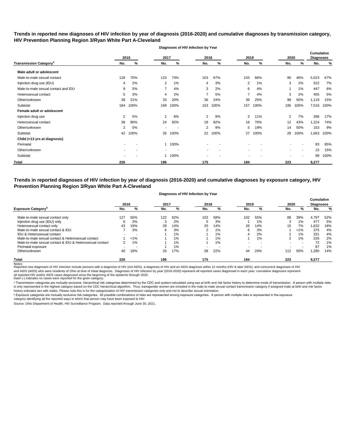# **Trends in reported new diagnoses of HIV infection by year of diagnosis (2016-2020) and cumulative diagnoses by transmission category, HIV Prevention Planning Region 3/Ryan White Part A-Cleveland**

|                                          |     | 2016<br>2017 |                |        | 2018           |      | 2019<br>2020 |      |     | <b>Cumulative</b><br><b>Diagnoses</b> |       |      |
|------------------------------------------|-----|--------------|----------------|--------|----------------|------|--------------|------|-----|---------------------------------------|-------|------|
| <b>Transmission Category<sup>a</sup></b> | No. | %            | No.            | %      | No.            | %    | No.          | %    | No. | %                                     | No.   | %    |
| Male adult or adolescent                 |     |              |                |        |                |      |              |      |     |                                       |       |      |
| Male-to-male sexual contact              | 128 | 70%          | 123            | 73%    | 103            | 67%  | 103          | 66%  | 90  | 46%                                   | 5,023 | 67%  |
| Injection drug use (IDU)                 | 4   | 2%           | 2              | 1%     | 4              | 3%   | 2            | 1%   | 3   | 2%                                    | 522   | 7%   |
| Male-to-male sexual contact and IDU      | 9   | 5%           | 7              | 4%     | 3              | 2%   | 6            | 4%   |     | 1%                                    | 447   | 6%   |
| Heterosexual contact                     | 5   | 3%           | 4              | 2%     |                | 5%   | 7            | 4%   | 3   | 2%                                    | 405   | 5%   |
| Other/unknown                            | 38  | 21%          | 33             | 20%    | 36             | 24%  | 39           | 25%  | 98  | 50%                                   | 1,119 | 15%  |
| Subtotal                                 | 184 | 100%         | 169            | 100%   | 153            | 100% | 157          | 100% | 195 | 100%                                  | 7,516 | 100% |
| Female adult or adolescent               |     |              |                |        |                |      |              |      |     |                                       |       |      |
| Injection drug use                       | 2   | 5%           | $\overline{2}$ | 8%     | $\overline{2}$ | 9%   | 3            | 11%  | 2   | 7%                                    | 286   | 17%  |
| Heterosexual contact                     | 38  | 90%          | 24             | 92%    | 18             | 82%  | 19           | 70%  | 12  | 43%                                   | 1,224 | 74%  |
| Other/unknown                            | 2   | 5%           | ٠              |        | $\overline{2}$ | 9%   | 5            | 19%  | 14  | 50%                                   | 153   | 9%   |
| Subtotal                                 | 42  | 100%         | 26             | 100%   | 22             | 100% | 27           | 100% | 28  | 100%                                  | 1,663 | 100% |
| Child (<13 yrs at diagnosis)             |     |              |                |        |                |      |              |      |     |                                       |       |      |
| Perinatal                                |     |              |                | 1 100% |                |      |              |      |     |                                       | 83    | 85%  |
| Other/unknown                            |     |              |                |        | $\blacksquare$ |      |              |      |     | $\overline{\phantom{a}}$              | 15    | 15%  |
| Subtotal                                 |     |              |                | 100%   |                |      |              |      |     |                                       | 98    | 100% |
| <b>Total</b>                             | 226 |              | 196            |        | 175            |      | 184          |      | 223 |                                       | 9,277 |      |

**Diagnoses of HIV Infection by Year**

**Trends in reported diagnoses of HIV infection by year of diagnosis (2016-2020) and cumulative diagnoses by exposure category, HIV Prevention Planning Region 3/Ryan White Part A-Cleveland**

### **Diagnoses of HIV Infection by Year**

|                                                          | 2016 |         | 2017 |       | 2018           |                          | 2019 |     | 2020          |         | <b>Cumulative</b><br><b>Diagnoses</b> |       |
|----------------------------------------------------------|------|---------|------|-------|----------------|--------------------------|------|-----|---------------|---------|---------------------------------------|-------|
| <b>Exposure Category</b>                                 | No.  | %       | No.  | %     | No.            | %                        | No.  | %   | No.           | %       | No.                                   | %     |
| Male-to-male sexual contact only                         | 127  | 56%     | 122  | 62%   | 102            | 58%                      | 102  | 55% | 88            | 39%     | 4.797                                 | 52%   |
| Injection drug use (IDU) only                            |      | 3%      | 3    | 2%    | G              | 3%                       |      | 1%  | 3             | 1%      | 477                                   | 5%    |
| Heterosexual contact only                                | 43   | 19%     | 28   | 14%   | 25             | 14%                      | 26   | 14% | 15            | 7%      | 1,632                                 | 18%   |
| Male-to-male sexual contact & IDU                        |      | 3%      | 6    | 3%    | ົ              | $1\%$                    | 6    | 3%  |               | $< 1\%$ | 375                                   | 4%    |
| IDU & Heterosexual contact                               |      |         |      | 1%    |                | 1%                       | 4    | 2%  |               | 1%      | 331                                   | 4%    |
| Male-to-male sexual contact & Heterosexual contact       |      | $< 1\%$ |      | 1%    |                | $1\%$                    |      | 1%  | $\mathcal{P}$ | 1%      | 226                                   | 2%    |
| Male-to-male sexual contact & IDU & Heterosexual contact |      | $1\%$   |      | 1%    |                | 1%                       |      |     |               | . .     | 72                                    | 1%    |
| Perinatal exposure                                       |      |         |      | $1\%$ | $\blacksquare$ | $\overline{\phantom{a}}$ |      |     |               |         | 87                                    | $1\%$ |
| Other/unknown                                            | 40   | 18%     | 33   | 17%   | 38             | 22%                      | 44   | 24% | 112           | 50%     | 280,                                  | 14%   |
| <b>Total</b><br>$\cdots$                                 | 226  |         | 196  |       | 175            |                          | 184  |     | 223           |         | 9,277                                 |       |

Notes:<br>Reported new diagnoses of HIV infection include persons with a diagnosis of HIV (not AIDS), a diagnosis of HIV and an AIDS diagnosis within 12 months (HIV & later AIDS), and concurrent diagnoses of HIV and AIDS (AIDS) who were residents of Ohio at time of initial diagnosis. Diagnoses of HIV infection by year (2016-2020) represent all reported cases diagnosed in each year; cumulative diagnoses represent

all reported HIV and/or AIDS cases diagnosed since the beginning of the epidemic through 2020.<br>Dash (-) indicates no cases were reported for the given category.

a Transmission categories are mutually exclusive, hierarchical risk categories determined by the CDC and system-calculated using sex at birth and risk factor history to determine mode of transmission. A person with multipl is only represented in the highest category based on the CDC hierarchical algorithm. Thus, transgender women are included in the male-to-male sexual contact transmission category if assigned male at birth and risk factor history indicates sex with males. Please note this is for the categorization of HIV transmission categories only and not to describe sexual orientation.

 $^{\rm b}$  Exposure categories are mutually exclusive risk categories. All possible combinations of risks are represented among exposure categories. A person with multiple risks is represented in the exposure

category identifying all the reported ways in which that person may have been exposed to HIV.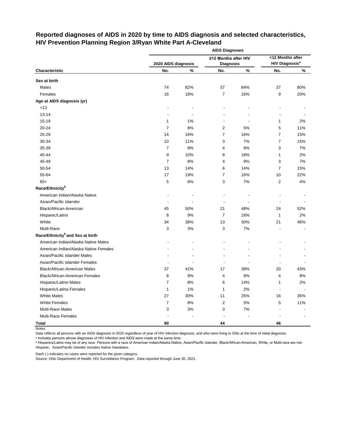# **Reported diagnoses of AIDS in 2020 by time to AIDS diagnosis and selected characteristics, HIV Prevention Planning Region 3/Ryan White Part A-Cleveland**

|                                              |                     |      | <b>AIDS Diagnoses</b> |       |                                  |     |
|----------------------------------------------|---------------------|------|-----------------------|-------|----------------------------------|-----|
|                                              |                     |      | ≥12 Months after HIV  |       | <12 Months after                 |     |
|                                              | 2020 AIDS diagnosis |      | <b>Diagnosis</b>      |       | <b>HIV Diagnosis<sup>a</sup></b> |     |
| Characteristic                               | No.                 | $\%$ | No.                   | $\%$  | No.                              | %   |
| Sex at birth                                 |                     |      |                       |       |                                  |     |
| Males                                        | 74                  | 82%  | 37                    | 84%   | 37                               | 80% |
| Females                                      | 16                  | 18%  | $\overline{7}$        | 16%   | 9                                | 20% |
| Age at AIDS diagnosis (yr)                   |                     |      |                       |       |                                  |     |
| $<13$                                        |                     |      |                       |       |                                  |     |
| $13 - 14$                                    |                     |      |                       |       |                                  |     |
| 15-19                                        | 1                   | 1%   | $\blacksquare$        |       | 1                                | 2%  |
| 20-24                                        | $\overline{7}$      | 8%   | 2                     | 5%    | 5                                | 11% |
| 25-29                                        | 14                  | 16%  | $\overline{7}$        | 16%   | 7                                | 15% |
| 30-34                                        | 10                  | 11%  | 3                     | 7%    | $\overline{7}$                   | 15% |
| 35-39                                        | 7                   | 8%   | 4                     | 9%    | 3                                | 7%  |
| 40-44                                        | 9                   | 10%  | 8                     | 18%   | 1                                | 2%  |
| 45-49                                        | 7                   | 8%   | 4                     | 9%    | 3                                | 7%  |
| 50-54                                        | 13                  | 14%  | 6                     | 14%   | 7                                | 15% |
| 55-64                                        | 17                  | 19%  | $\overline{7}$        | 16%   | 10                               | 22% |
| $65+$                                        | 5                   | 6%   | 3                     | 7%    | $\overline{2}$                   | 4%  |
| Race/Ethnicity <sup>b</sup>                  |                     |      |                       |       |                                  |     |
| American Indian/Alaska Native                |                     |      |                       |       |                                  |     |
| Asian/Pacific Islander                       |                     |      |                       |       |                                  |     |
| Black/African-American                       | 45                  | 50%  | 21                    | 48%   | 24                               | 52% |
| Hispanic/Latinx                              | 8                   | 9%   | $\overline{7}$        | 16%   | 1                                | 2%  |
| White                                        | 34                  | 38%  | 13                    | 30%   | 21                               | 46% |
| Multi-Race                                   | 3                   | 3%   | 3                     | 7%    |                                  |     |
| Race/Ethnicity <sup>b</sup> and Sex at birth |                     |      |                       |       |                                  |     |
| American Indian/Alaska Native Males          |                     |      |                       |       |                                  |     |
| American Indian/Alaska Native Females        |                     |      |                       |       |                                  |     |
| Asian/Pacific Islander Males                 |                     |      |                       |       |                                  |     |
| Asian/Pacific Islander Females               |                     |      |                       |       |                                  |     |
| Black/African-American Males                 | 37                  | 41%  | 17                    | 39%   | 20                               | 43% |
| <b>Black/African-American Females</b>        | 8                   | 9%   | 4                     | 9%    | 4                                | 9%  |
| Hispanic/Latino Males                        | $\boldsymbol{7}$    | $8%$ | 6                     | 14%   | $\mathbf{1}$                     | 2%  |
| Hispanic/Latina Females                      | $\mathbf{1}$        | 1%   | 1                     | 2%    |                                  |     |
| <b>White Males</b>                           | 27                  | 30%  | 11                    | 25%   | 16                               | 35% |
| <b>White Females</b>                         | $\overline{7}$      | 8%   | 2                     | $5\%$ | 5                                | 11% |
| Multi-Race Males                             | 3                   | $3%$ | 3                     | $7\%$ |                                  |     |
| Multi-Race Females                           |                     |      |                       |       |                                  |     |
| <b>Total</b>                                 | $90\,$              |      | 44                    |       | 46                               |     |

Notes:

Data reflects all persons with an AIDS diagnosis in 2020 regardless of year of HIV infection diagnosis, and who were living in Ohio at the time of initial diagnosis.

ᵃ Includes persons whose diagnoses of HIV infection and AIDS were made at the same time.

<u>b Hispanics/Latinx may be of any race. Persons with a race of American Indian/Alaska Native, Asian/Pacific Islander, Black/African-American, White, or Multi-race are not-</u> Hispanic. Asian/Pacific Islander includes Native Hawaiians.

Dash (-) indicates no cases were reported for the given category.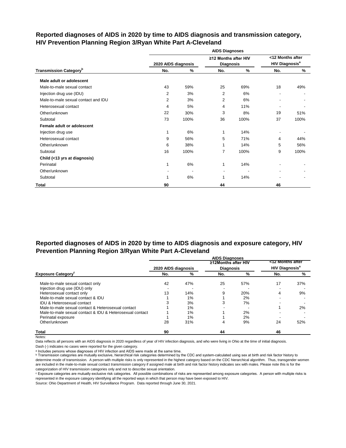|                                           |                     |      | <b>AIDS Diagnoses</b>                    |      |                                                      |      |
|-------------------------------------------|---------------------|------|------------------------------------------|------|------------------------------------------------------|------|
|                                           | 2020 AIDS diagnosis |      | ≥12 Months after HIV<br><b>Diagnosis</b> |      | <12 Months after<br><b>HIV Diagnosis<sup>a</sup></b> |      |
| <b>Transmission Category</b> <sup>b</sup> | No.                 | %    | No.                                      | %    | No.                                                  | %    |
| Male adult or adolescent                  |                     |      |                                          |      |                                                      |      |
| Male-to-male sexual contact               | 43                  | 59%  | 25                                       | 69%  | 18                                                   | 49%  |
| Injection drug use (IDU)                  | 2                   | 3%   | $\overline{2}$                           | 6%   |                                                      |      |
| Male-to-male sexual contact and IDU       | $\overline{2}$      | 3%   | $\overline{2}$                           | 6%   |                                                      |      |
| Heterosexual contact                      | 4                   | 5%   | 4                                        | 11%  | ٠                                                    |      |
| Other/unknown                             | 22                  | 30%  | 3                                        | 8%   | 19                                                   | 51%  |
| Subtotal                                  | 73                  | 100% | 36                                       | 100% | 37                                                   | 100% |
| Female adult or adolescent                |                     |      |                                          |      |                                                      |      |
| Injection drug use                        |                     | 6%   | 1                                        | 14%  |                                                      |      |
| Heterosexual contact                      | 9                   | 56%  | 5                                        | 71%  | 4                                                    | 44%  |
| Other/unknown                             | 6                   | 38%  | 1                                        | 14%  | 5                                                    | 56%  |
| Subtotal                                  | 16                  | 100% | 7                                        | 100% | 9                                                    | 100% |
| Child (<13 yrs at diagnosis)              |                     |      |                                          |      |                                                      |      |
| Perinatal                                 |                     | 6%   | 1                                        | 14%  |                                                      |      |
| Other/unknown                             |                     |      |                                          |      |                                                      |      |
| Subtotal                                  |                     | 6%   | 1                                        | 14%  |                                                      |      |
| Total                                     | 90                  |      | 44                                       |      | 46                                                   |      |

# **Reported diagnoses of AIDS in 2020 by time to AIDS diagnosis and transmission category, HIV Prevention Planning Region 3/Ryan White Part A-Cleveland**

# **Reported diagnoses of AIDS in 2020 by time to AIDS diagnosis and exposure category, HIV Prevention Planning Region 3/Ryan White Part A-Cleveland**

|                                                          |                     |     | <b>AIDS Diagnoses</b> |     |                                  |     |
|----------------------------------------------------------|---------------------|-----|-----------------------|-----|----------------------------------|-----|
|                                                          |                     |     | ≥12Months after HIV   |     | <12 Months after                 |     |
|                                                          | 2020 AIDS diagnosis |     | <b>Diagnosis</b>      |     | <b>HIV Diagnosis<sup>a</sup></b> |     |
| <b>Exposure Category</b> <sup>c</sup>                    | No.                 | %   | No.                   | %   | No.                              | %   |
| Male-to-male sexual contact only                         | 42                  | 47% | 25                    | 57% | 17                               | 37% |
| Injection drug use (IDU) only                            |                     |     |                       |     |                                  |     |
| Heterosexual contact only                                | 13                  | 14% | 9                     | 20% | 4                                | 9%  |
| Male-to-male sexual contact & IDU                        |                     | 1%  |                       | 2%  |                                  |     |
| <b>IDU &amp; Heterosexual contact</b>                    |                     | 3%  |                       | 7%  | $\overline{\phantom{0}}$         |     |
| Male-to-male sexual contact & Heterosexual contact       |                     | 1%  |                       |     |                                  | 2%  |
| Male-to-male sexual contact & IDU & Heterosexual contact |                     | 1%  |                       | 2%  |                                  |     |
| Perinatal exposure                                       |                     | 1%  |                       | 2%  |                                  |     |
| Other/unknown                                            | 28                  | 31% | 4                     | 9%  | 24                               | 52% |
| <b>Total</b>                                             | 90                  |     | 44                    |     | 46                               |     |

Notes:

Data reflects all persons with an AIDS diagnosis in 2020 regardless of year of HIV infection diagnosis, and who were living in Ohio at the time of initial diagnosis.

Dash (-) indicates no cases were reported for the given category.

a Includes persons whose diagnoses of HIV infection and AIDS were made at the same time.

**b** Transmission categories are mutually exclusive, hierarchical risk categories determined by the CDC and system-calculated using sex at birth and risk factor history to determine mode of transmission. A person with multiple risks is only represented in the highest category based on the CDC hierarchical algorithm. Thus, transgender women are included in the male-to-male sexual contact transmission category if assigned male at birth and risk factor history indicates sex with males. Please note this is for the categorization of HIV transmission categories only and not to describe sexual orientation.

ᶜ Exposure categories are mutually exclusive risk categories. All possible combinations of risks are represented among exposure categories. A person with multiple risks is represented in the exposure category identifying all the reported ways in which that person may have been exposed to HIV.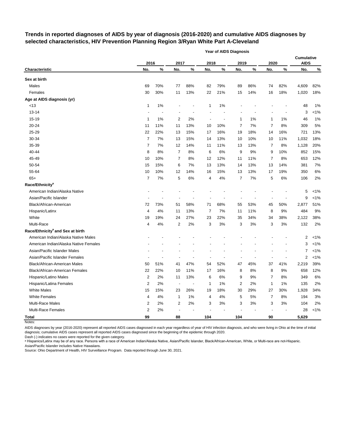# **Trends in reported diagnoses of AIDS by year of diagnosis (2016-2020) and cumulative AIDS diagnoses by selected characteristics, HIV Prevention Planning Region 3/Ryan White Part A-Cleveland**

|                                              |                |       |                          |     |              | <b>Year of AIDS Diagnosis</b> |                         |       |                |      |                                  |         |
|----------------------------------------------|----------------|-------|--------------------------|-----|--------------|-------------------------------|-------------------------|-------|----------------|------|----------------------------------|---------|
|                                              | 2016           |       | 2017                     |     | 2018         |                               | 2019                    |       | 2020           |      | <b>Cumulative</b><br><b>AIDS</b> |         |
| Characteristic                               | No.            | $\%$  | No.                      | %   | No.          | $\%$                          | No.                     | %     | No.            | $\%$ | No.                              | $\%$    |
| Sex at birth                                 |                |       |                          |     |              |                               |                         |       |                |      |                                  |         |
| Males                                        | 69             | 70%   | 77                       | 88% | 82           | 79%                           | 89                      | 86%   | 74             | 82%  | 4,609                            | 82%     |
| Females                                      | 30             | 30%   | 11                       | 13% | 22           | 21%                           | 15                      | 14%   | 16             | 18%  | 1,020                            | 18%     |
| Age at AIDS diagnosis (yr)                   |                |       |                          |     |              |                               |                         |       |                |      |                                  |         |
| <13                                          | 1              | 1%    |                          |     | 1            | 1%                            |                         |       |                |      | 48                               | 1%      |
| $13 - 14$                                    |                |       |                          |     |              |                               |                         |       |                |      | 3                                | $< 1\%$ |
| 15-19                                        | 1              | 1%    | 2                        | 2%  |              |                               | 1                       | 1%    | 1              | 1%   | 46                               | 1%      |
| 20-24                                        | 11             | 11%   | 11                       | 13% | 10           | 10%                           | 7                       | 7%    | 7              | 8%   | 309                              | 5%      |
| 25-29                                        | 22             | 22%   | 13                       | 15% | 17           | 16%                           | 19                      | 18%   | 14             | 16%  | 721                              | 13%     |
| 30-34                                        | $\overline{7}$ | 7%    | 13                       | 15% | 14           | 13%                           | 10                      | 10%   | 10             | 11%  | 1,032                            | 18%     |
| 35-39                                        | 7              | 7%    | 12                       | 14% | 11           | 11%                           | 13                      | 13%   | 7              | 8%   | 1,128                            | 20%     |
| 40-44                                        | 8              | 8%    | 7                        | 8%  | 6            | 6%                            | 9                       | 9%    | 9              | 10%  | 852                              | 15%     |
| 45-49                                        | 10             | 10%   | 7                        | 8%  | 12           | 12%                           | 11                      | 11%   | 7              | 8%   | 653                              | 12%     |
| 50-54                                        | 15             | 15%   | 6                        | 7%  | 13           | 13%                           | 14                      | 13%   | 13             | 14%  | 381                              | 7%      |
| 55-64                                        | 10             | 10%   | 12                       | 14% | 16           | 15%                           | 13                      | 13%   | 17             | 19%  | 350                              | 6%      |
| $65+$                                        | $\overline{7}$ | 7%    | 5                        | 6%  | 4            | 4%                            | 7                       | 7%    | 5              | 6%   | 106                              | 2%      |
| Race/Ethnicity <sup>a</sup>                  |                |       |                          |     |              |                               |                         |       |                |      |                                  |         |
| American Indian/Alaska Native                |                |       |                          |     |              |                               |                         |       |                |      | 5                                | $< 1\%$ |
| Asian/Pacific Islander                       |                |       |                          |     |              |                               |                         |       |                |      | 9                                | $< 1\%$ |
| Black/African-American                       | 72             | 73%   | 51                       | 58% | 71           | 68%                           | 55                      | 53%   | 45             | 50%  | 2,877                            | 51%     |
| Hispanic/Latinx                              | 4              | 4%    | 11                       | 13% | 7            | 7%                            | 11                      | 11%   | 8              | 9%   | 484                              | 9%      |
| White                                        | 19             | 19%   | 24                       | 27% | 23           | 22%                           | 35                      | 34%   | 34             | 38%  | 2,122                            | 38%     |
| Multi-Race                                   | 4              | 4%    | 2                        | 2%  | 3            | 3%                            | 3                       | 3%    | 3              | 3%   | 132                              | 2%      |
| Race/Ethnicity <sup>a</sup> and Sex at birth |                |       |                          |     |              |                               |                         |       |                |      |                                  |         |
| American Indian/Alaska Native Males          |                |       |                          |     |              |                               |                         |       |                |      | 2                                | $< 1\%$ |
| American Indian/Alaska Native Females        |                |       |                          |     |              |                               |                         |       |                |      | 3                                | $< 1\%$ |
| Asian/Pacific Islander Males                 |                |       |                          |     |              |                               |                         |       |                |      | 7                                | $< 1\%$ |
| Asian/Pacific Islander Females               |                |       |                          |     |              |                               |                         |       |                |      | 2                                | $< 1\%$ |
| Black/African-American Males                 | 50             | 51%   | 41                       | 47% | 54           | 52%                           | 47                      | 45%   | 37             | 41%  | 2,219                            | 39%     |
| Black/African-American Females               | 22             | 22%   | 10                       | 11% | 17           | 16%                           | 8                       | 8%    | 8              | 9%   | 658                              | 12%     |
| Hispanic/Latino Males                        | 2              | 2%    | 11                       | 13% | 6            | $6\%$                         | 9                       | $9\%$ | 7              | 8%   | 349                              | $6\%$   |
| Hispanic/Latina Females                      | 2              | 2%    | $\overline{a}$           |     | $\mathbf{1}$ | 1%                            | $\overline{\mathbf{c}}$ | 2%    | 1              | 1%   | 135                              | 2%      |
| <b>White Males</b>                           | 15             | 15%   | 23                       | 26% | 19           | 18%                           | 30                      | 29%   | 27             | 30%  | 1,928                            | 34%     |
| <b>White Females</b>                         | 4              | 4%    | 1                        | 1%  | 4            | 4%                            | 5                       | 5%    | $\overline{7}$ | 8%   | 194                              | $3%$    |
| Multi-Race Males                             | 2              | 2%    | 2                        | 2%  | 3            | 3%                            | 3                       | 3%    | 3              | 3%   | 104                              | 2%      |
| Multi-Race Females                           | 2              | $2\%$ | $\overline{\phantom{a}}$ |     |              |                               |                         |       | $\overline{a}$ |      | 28                               | $< 1\%$ |
| <b>Total</b>                                 | 99             |       | 88                       |     | 104          |                               | 104                     |       | $90\,$         |      | 5,629                            |         |

Notes:

AIDS diagnoses by year (2016-2020) represent all reported AIDS cases diagnosed in each year regardless of year of HIV infection diagnosis, and who were living in Ohio at the time of initial diagnosis; cumulative AIDS cases represent all reported AIDS cases diagnosed since the beginning of the epidemic through 2020.

Dash (-) indicates no cases were reported for the given category.

a Hispanics/Latinx may be of any race. Persons with a race of American Indian/Alaska Native, Asian/Pacific Islander, Black/African-American, White, or Multi-race are not-Hispanic. Asian/Pacific Islander includes Native Hawaiians.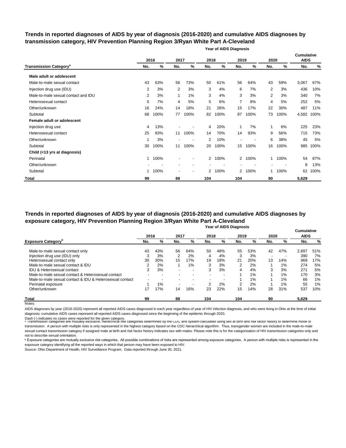# **Trends in reported diagnoses of AIDS by year of diagnosis (2016-2020) and cumulative AIDS diagnoses by transmission category, HIV Prevention Planning Region 3/Ryan White Part A-Cleveland**

**Year of AIDS Diagnosis**

|                                          |     | 2016 | 2017                     |      | 2018           |      | 2019                     |      | 2020 |      | <b>Cumulative</b><br><b>AIDS</b> |      |
|------------------------------------------|-----|------|--------------------------|------|----------------|------|--------------------------|------|------|------|----------------------------------|------|
| <b>Transmission Category<sup>a</sup></b> | No. | %    | No.                      | %    | No.            | %    | No.                      | %    | No.  | %    | No.                              | %    |
| Male adult or adolescent                 |     |      |                          |      |                |      |                          |      |      |      |                                  |      |
| Male-to-male sexual contact              | 43  | 63%  | 56                       | 73%  | 50             | 61%  | 56                       | 64%  | 43   | 59%  | 3,067                            | 67%  |
| Injection drug use (IDU)                 | 2   | 3%   | 2                        | 3%   | 3              | 4%   | 6                        | 7%   | 2    | 3%   | 436                              | 10%  |
| Male-to-male sexual contact and IDU      | 2   | 3%   | 1                        | 1%   | 3              | 4%   | 3                        | 3%   | 2    | 3%   | 340                              | 7%   |
| Heterosexual contact                     | 5   | 7%   | 4                        | 5%   | 5              | 6%   | $\overline{7}$           | 8%   | 4    | 5%   | 252                              | 5%   |
| Other/unknown                            | 16  | 24%  | 14                       | 18%  | 21             | 26%  | 15                       | 17%  | 22   | 30%  | 487                              | 11%  |
| Subtotal                                 | 68  | 100% | 77                       | 100% | 82             | 100% | 87                       | 100% | 73   | 100% | 4,582                            | 100% |
| Female adult or adolescent               |     |      |                          |      |                |      |                          |      |      |      |                                  |      |
| Injection drug use                       | 4   | 13%  |                          |      | 4              | 20%  | 1                        | 7%   | 1    | 6%   | 225                              | 23%  |
| Heterosexual contact                     | 25  | 83%  | 11                       | 100% | 14             | 70%  | 14                       | 93%  | 9    | 56%  | 715                              | 73%  |
| Other/unknown                            |     | 3%   | $\overline{\phantom{a}}$ |      | 2              | 10%  | $\overline{\phantom{a}}$ |      | 6    | 38%  | 45                               | 5%   |
| Subtotal                                 | 30  | 100% | 11                       | 100% | 20             | 100% | 15                       | 100% | 16   | 100% | 985                              | 100% |
| Child (<13 yrs at diagnosis)             |     |      |                          |      |                |      |                          |      |      |      |                                  |      |
| Perinatal                                | 1   | 100% |                          | ۰    | $\overline{2}$ | 100% | $\overline{2}$           | 100% | 1    | 100% | 54                               | 87%  |
| Other/unknown                            |     |      |                          |      |                |      |                          |      |      |      | 8                                | 13%  |
| Subtotal                                 | 1   | 100% |                          | ۰    | 2              | 100% | 2                        | 100% |      | 100% | 62                               | 100% |
| <b>Total</b>                             | 99  |      | 88                       |      | 104            |      | 104                      |      | 90   |      | 5,629                            |      |

## **Year of AIDS Diagnosis Trends in reported diagnoses of AIDS by year of diagnosis (2016-2020) and cumulative AIDS diagnoses by exposure category, HIV Prevention Planning Region 3/Ryan White Part A-Cleveland**

|                                                          |     | 2016 | 2017                     |                | 2018 |     | 2019 |     | 2020                     |       | <b>Cumulative</b><br><b>AIDS</b> |     |
|----------------------------------------------------------|-----|------|--------------------------|----------------|------|-----|------|-----|--------------------------|-------|----------------------------------|-----|
| <b>Exposure Category</b> <sup>p</sup>                    | No. | %    | No.                      | %              | No.  | %   | No.  | %   | No.                      | %     | No.                              | %   |
| Male-to-male sexual contact only                         | 43  | 43%  | 56                       | 64%            | 50   | 48% | 55   | 53% | 42                       | 47%   | 2.897                            | 51% |
| Injection drug use (IDU) only                            | 3   | 3%   | 2                        | 2%             | 4    | 4%  | 3    | 3%  | $\overline{\phantom{a}}$ |       | 390                              | 7%  |
| Heterosexual contact only                                | 30  | 30%  | 15                       | 17%            | 19   | 18% | 21   | 20% | 13                       | 14%   | 969                              | 17% |
| Male-to-male sexual contact & IDU                        | 2   | 2%   |                          | $1\%$          | 3    | 3%  | 2    | 2%  |                          | 1%    | 274                              | 5%  |
| <b>IDU &amp; Heterosexual contact</b>                    | 3   | 3%   | $\overline{\phantom{0}}$ | $\blacksquare$ | 3    | 3%  | 4    | 4%  | 3                        | 3%    | 271                              | 5%  |
| Male-to-male sexual contact & Heterosexual contact       |     |      |                          | -              |      |     |      | 1%  |                          | 1%    | 170                              | 3%  |
| Male-to-male sexual contact & IDU & Heterosexual contact |     |      |                          |                |      |     |      | 1%  |                          | $1\%$ | 66                               | 1%  |
| Perinatal exposure                                       |     | 1%   | $\overline{\phantom{0}}$ | $\,$           | 2    | 2%  | 2    | 2%  |                          | 1%    | 55                               | 1%  |
| Other/unknown                                            | 17  | 17%  | 14                       | 16%            | 23   | 22% | 15   | 14% | 28                       | 31%   | 537                              | 10% |
| <b>Total</b>                                             | 99  |      | 88                       |                | 104  |     | 104  |     | 90                       |       | 5,629                            |     |
| Notes:                                                   |     |      |                          |                |      |     |      |     |                          |       |                                  |     |

AIDS diagnoses by year (2016-2020) represent all reported AIDS cases diagnosed in each year regardless of year of HIV infection diagnosis, and who were living in Ohio at the time of initial diagnosis; cumulative AIDS cases represent all reported AIDS cases diagnosed since the beginning of the epidemic through 2020.

Dash (-) indicates no cases were reported for the given category.<br>◎ Transmission categories are mutually exclusive, nierarcnical risk categories determined by the CDC and system-calculated using sex at birth and risk ract transmission. A person with multiple risks is only represented in the highest category based on the CDC hierarchical algorithm. Thus, transgender women are included in the male-to-male sexual contact transmission category if assigned male at birth and risk factor history indicates sex with males. Please note this is for the categorization of HIV transmission categories only and not to describe sexual orientation.

**b** Exposure categories are mutually exclusive risk categories. All possible combinations of risks are represented among exposure categories. A person with multiple risks is represented in the exposure category identifying all the reported ways in which that person may have been exposed to HIV.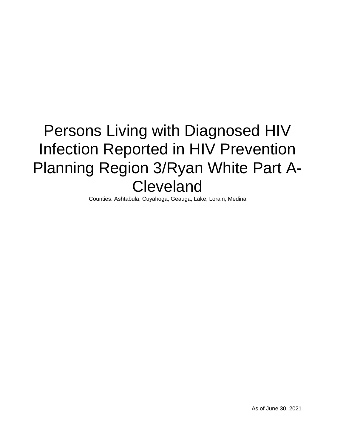# Persons Living with Diagnosed HIV Infection Reported in HIV Prevention Planning Region 3/Ryan White Part A-Cleveland

Counties: Ashtabula, Cuyahoga, Geauga, Lake, Lorain, Medina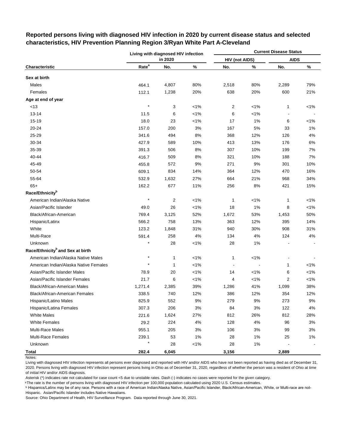|                                              |                   | Living with diagnosed HIV infection |         |                          |         | <b>Current Disease Status</b> |         |
|----------------------------------------------|-------------------|-------------------------------------|---------|--------------------------|---------|-------------------------------|---------|
|                                              |                   | in 2020                             |         | <b>HIV (not AIDS)</b>    |         | <b>AIDS</b>                   |         |
| Characteristic                               | Rate <sup>a</sup> | No.                                 | $\%$    | No.                      | $\%$    | No.                           | $\%$    |
| Sex at birth                                 |                   |                                     |         |                          |         |                               |         |
| Males                                        | 464.1             | 4,807                               | 80%     | 2,518                    | 80%     | 2,289                         | 79%     |
| Females                                      | 112.1             | 1,238                               | 20%     | 638                      | 20%     | 600                           | 21%     |
| Age at end of year                           |                   |                                     |         |                          |         |                               |         |
| < 13                                         | $\star$           | 3                                   | $< 1\%$ | 2                        | $< 1\%$ | 1                             | $< 1\%$ |
| $13 - 14$                                    | 11.5              | 6                                   | $< 1\%$ | 6                        | $< 1\%$ | $\blacksquare$                |         |
| 15-19                                        | 18.0              | 23                                  | $< 1\%$ | 17                       | 1%      | 6                             | $1\%$   |
| 20-24                                        | 157.0             | 200                                 | 3%      | 167                      | 5%      | 33                            | 1%      |
| 25-29                                        | 341.6             | 494                                 | 8%      | 368                      | 12%     | 126                           | 4%      |
| 30-34                                        | 427.9             | 589                                 | 10%     | 413                      | 13%     | 176                           | 6%      |
| 35-39                                        | 391.3             | 506                                 | 8%      | 307                      | 10%     | 199                           | 7%      |
| 40-44                                        | 416.7             | 509                                 | 8%      | 321                      | 10%     | 188                           | 7%      |
| 45-49                                        | 455.8             | 572                                 | 9%      | 271                      | 9%      | 301                           | 10%     |
| 50-54                                        | 609.1             | 834                                 | 14%     | 364                      | 12%     | 470                           | 16%     |
| 55-64                                        | 532.9             | 1,632                               | 27%     | 664                      | 21%     | 968                           | 34%     |
| $65+$                                        | 162.2             | 677                                 | 11%     | 256                      | 8%      | 421                           | 15%     |
| Race/Ethnicity <sup>b</sup>                  |                   |                                     |         |                          |         |                               |         |
| American Indian/Alaska Native                | $\star$           | $\overline{2}$                      | $< 1\%$ | 1                        | $< 1\%$ | $\mathbf{1}$                  | $< 1\%$ |
| Asian/Pacific Islander                       | 49.0              | 26                                  | $< 1\%$ | 18                       | 1%      | 8                             | $< 1\%$ |
| Black/African-American                       | 769.4             | 3,125                               | 52%     | 1,672                    | 53%     | 1,453                         | 50%     |
| Hispanic/Latinx                              | 566.2             | 758                                 | 13%     | 363                      | 12%     | 395                           | 14%     |
| White                                        | 123.2             | 1,848                               | 31%     | 940                      | 30%     | 908                           | 31%     |
| Multi-Race                                   | 591.4             | 258                                 | 4%      | 134                      | 4%      | 124                           | 4%      |
| Unknown                                      | $\star$           | 28                                  | $< 1\%$ | 28                       | 1%      |                               |         |
| Race/Ethnicity <sup>b</sup> and Sex at birth |                   |                                     |         |                          |         |                               |         |
| American Indian/Alaska Native Males          | $\star$           | 1                                   | $< 1\%$ | 1                        | $< 1\%$ |                               |         |
| American Indian/Alaska Native Females        |                   | 1                                   | $< 1\%$ | $\overline{\phantom{a}}$ |         | $\mathbf{1}$                  | $< 1\%$ |
| Asian/Pacific Islander Males                 | 78.9              | 20                                  | $< 1\%$ | 14                       | $< 1\%$ | 6                             | $< 1\%$ |
| Asian/Pacific Islander Females               | 21.7              | 6                                   | $< 1\%$ | 4                        | $< 1\%$ | $\overline{\mathbf{c}}$       | $< 1\%$ |
| <b>Black/African-American Males</b>          | 1,271.4           | 2,385                               | 39%     | 1,286                    | 41%     | 1,099                         | 38%     |
| Black/African-American Females               | 338.5             | 740                                 | 12%     | 386                      | 12%     | 354                           | 12%     |
| Hispanic/Latino Males                        | 825.9             | 552                                 | 9%      | 279                      | 9%      | 273                           | 9%      |
| Hispanic/Latina Females                      | 307.3             | 206                                 | 3%      | 84                       | 3%      | 122                           | 4%      |
| <b>White Males</b>                           | 221.6             | 1,624                               | 27%     | 812                      | 26%     | 812                           | 28%     |
| <b>White Females</b>                         | 29.2              | 224                                 | 4%      | 128                      | 4%      | 96                            | 3%      |
| <b>Multi-Race Males</b>                      | 955.1             | 205                                 | 3%      | 106                      | 3%      | 99                            | 3%      |
| <b>Multi-Race Females</b>                    | 239.1             | 53                                  | 1%      | 28                       | 1%      | 25                            | $1\%$   |
| Unknown                                      |                   | 28                                  | 1%      | 28                       | $1\%$   |                               |         |
| <b>Total</b>                                 | 282.4             | 6,045                               |         | 3,156                    |         | 2,889                         |         |

# **Reported persons living with diagnosed HIV infection in 2020 by current disease status and selected characteristics, HIV Prevention Planning Region 3/Ryan White Part A-Cleveland**

Notes:

Living with diagnosed HIV infection represents all persons ever diagnosed and reported with HIV and/or AIDS who have not been reported as having died as of December 31, 2020. Persons living with diagnosed HIV infection represent persons living in Ohio as of December 31, 2020, regardless of whether the person was a resident of Ohio at time of initial HIV and/or AIDS diagnosis.

Asterisk (\*) indicates rate not calculated for case count <5 due to unstable rates. Dash (-) indicates no cases were reported for the given category.

<sup>a</sup>The rate is the number of persons living with diagnosed HIV infection per 100,000 population calculated using 2020 U.S. Census estimates.

ᵇ Hispanics/Latinx may be of any race. Persons with a race of American Indian/Alaska Native, Asian/Pacific Islander, Black/African-American, White, or Multi-race are not-Hispanic. Asian/Pacific Islander includes Native Hawaiians.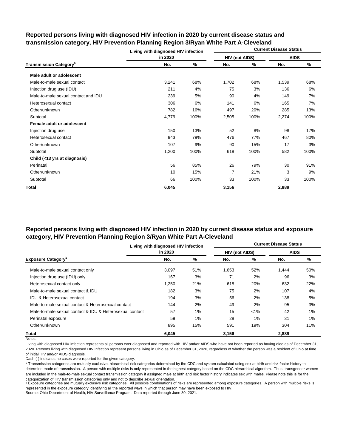|                                          | Living with diagnosed HIV infection |      |                       |      | <b>Current Disease Status</b> |      |
|------------------------------------------|-------------------------------------|------|-----------------------|------|-------------------------------|------|
|                                          | in 2020                             |      | <b>HIV (not AIDS)</b> |      | <b>AIDS</b>                   |      |
| <b>Transmission Category<sup>a</sup></b> | No.                                 | ℅    | No.                   | %    | No.                           | %    |
| Male adult or adolescent                 |                                     |      |                       |      |                               |      |
| Male-to-male sexual contact              | 3,241                               | 68%  | 1,702                 | 68%  | 1,539                         | 68%  |
| Injection drug use (IDU)                 | 211                                 | 4%   | 75                    | 3%   | 136                           | 6%   |
| Male-to-male sexual contact and IDU      | 239                                 | 5%   | 90                    | 4%   | 149                           | 7%   |
| Heterosexual contact                     | 306                                 | 6%   | 141                   | 6%   | 165                           | 7%   |
| Other/unknown                            | 782                                 | 16%  | 497                   | 20%  | 285                           | 13%  |
| Subtotal                                 | 4,779                               | 100% | 2,505                 | 100% | 2,274                         | 100% |
| Female adult or adolescent               |                                     |      |                       |      |                               |      |
| Injection drug use                       | 150                                 | 13%  | 52                    | 8%   | 98                            | 17%  |
| Heterosexual contact                     | 943                                 | 79%  | 476                   | 77%  | 467                           | 80%  |
| Other/unknown                            | 107                                 | 9%   | 90                    | 15%  | 17                            | 3%   |
| Subtotal                                 | 1,200                               | 100% | 618                   | 100% | 582                           | 100% |
| Child (<13 yrs at diagnosis)             |                                     |      |                       |      |                               |      |
| Perinatal                                | 56                                  | 85%  | 26                    | 79%  | 30                            | 91%  |
| Other/unknown                            | 10                                  | 15%  | 7                     | 21%  | 3                             | 9%   |
| Subtotal                                 | 66                                  | 100% | 33                    | 100% | 33                            | 100% |
| Total                                    | 6,045                               |      | 3,156                 |      | 2,889                         |      |

# **Reported persons living with diagnosed HIV infection in 2020 by current disease status and transmission category, HIV Prevention Planning Region 3/Ryan White Part A-Cleveland**

# **Reported persons living with diagnosed HIV infection in 2020 by current disease status and exposure category, HIV Prevention Planning Region 3/Ryan White Part A-Cleveland**

|                                                          | Living with diagnosed HIV infection |     |                       |         | <b>Current Disease Status</b> |     |
|----------------------------------------------------------|-------------------------------------|-----|-----------------------|---------|-------------------------------|-----|
|                                                          | in 2020                             |     | <b>HIV (not AIDS)</b> |         | <b>AIDS</b>                   |     |
| <b>Exposure Category</b> <sup>b</sup>                    | No.                                 | %   | No.                   | %       | No.                           | %   |
| Male-to-male sexual contact only                         | 3,097                               | 51% | 1,653                 | 52%     | 1,444                         | 50% |
| Injection drug use (IDU) only                            | 167                                 | 3%  | 71                    | 2%      | 96                            | 3%  |
| Heterosexual contact only                                | 1.250                               | 21% | 618                   | 20%     | 632                           | 22% |
| Male-to-male sexual contact & IDU                        | 182                                 | 3%  | 75                    | 2%      | 107                           | 4%  |
| <b>IDU &amp; Heterosexual contact</b>                    | 194                                 | 3%  | 56                    | 2%      | 138                           | 5%  |
| Male-to-male sexual contact & Heterosexual contact       | 144                                 | 2%  | 49                    | 2%      | 95                            | 3%  |
| Male-to-male sexual contact & IDU & Heterosexual contact | 57                                  | 1%  | 15                    | $< 1\%$ | 42                            | 1%  |
| Perinatal exposure                                       | 59                                  | 1%  | 28                    | 1%      | 31                            | 1%  |
| Other/unknown                                            | 895                                 | 15% | 591                   | 19%     | 304                           | 11% |
| Total                                                    | 6.045                               |     | 3.156                 |         | 2.889                         |     |

Notes:

Living with diagnosed HIV infection represents all persons ever diagnosed and reported with HIV and/or AIDS who have not been reported as having died as of December 31, 2020. Persons living with diagnosed HIV infection represent persons living in Ohio as of December 31, 2020, regardless of whether the person was a resident of Ohio at time of initial HIV and/or AIDS diagnosis.

Dash (-) indicates no cases were reported for the given category.

a Transmission categories are mutually exclusive, hierarchical risk categories determined by the CDC and system-calculated using sex at birth and risk factor history to determine mode of transmission. A person with multiple risks is only represented in the highest category based on the CDC hierarchical algorithm. Thus, transgender women are included in the male-to-male sexual contact transmission category if assigned male at birth and risk factor history indicates sex with males. Please note this is for the categorization of HIV transmission categories only and not to describe sexual orientation.

**b** Exposure categories are mutually exclusive risk categories. All possible combinations of risks are represented among exposure categories. A person with multiple risks is represented in the exposure category identifying all the reported ways in which that person may have been exposed to HIV.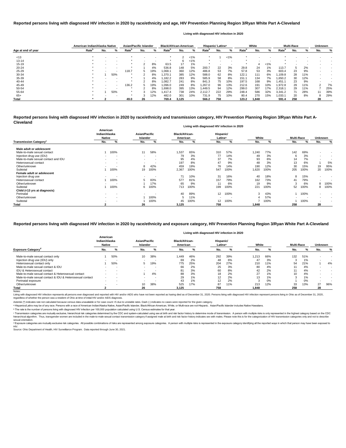| American Indian/Alaska Native |                   |                          | <b>Asian/Pacific Islander</b> |                   |             | <b>Black/African-American</b> |                   |       |         | Hispanic/ Latinx <sup>a</sup> |     |         | White             |        |       | <b>Multi-Race</b> |     | <b>Unknown</b> |     |     |
|-------------------------------|-------------------|--------------------------|-------------------------------|-------------------|-------------|-------------------------------|-------------------|-------|---------|-------------------------------|-----|---------|-------------------|--------|-------|-------------------|-----|----------------|-----|-----|
| Age at end of year            | Rate <sup>n</sup> | No.                      | ℅                             | Rate <sup>r</sup> | No.         | %                             | Rate <sup>p</sup> | No.   | %       | Rate <sup>p</sup>             | No. | %       | Rate <sup>n</sup> | No.    | %     | Rate <sup>"</sup> | No. | %              | No. | ℅   |
| < 13                          |                   |                          |                               |                   |             |                               |                   |       | $< 1\%$ |                               |     | $< 1\%$ |                   |        |       |                   |     |                |     |     |
| 13-14                         |                   |                          |                               |                   |             | . .                           |                   | 6     | $< 1\%$ |                               |     |         |                   | $\sim$ |       |                   |     |                |     |     |
| 15-19                         |                   |                          |                               |                   |             | 8%                            | 63.5              | 17    | 1%      |                               |     |         |                   |        | $1\%$ |                   |     |                |     |     |
| $20 - 24$                     |                   |                          |                               |                   |             | 4%                            | 536.8             | 148   | 5%      | 200.7                         | 22  | 3%      | 29.8              | 24     | 1%    | 113.7             | .5  | 2%             |     |     |
| $25 - 29$                     |                   |                          |                               | 118.7             | $\mathbf b$ | 19%                           | 068.1             | 360   | 12%     | 486.8                         | 53  | 7%      | 57.8              | 53     | 3%    | 603.4             | 23  | 9%             |     |     |
| 30-34                         |                   |                          | 50%                           |                   |             | 8%                            | ,370.1            | 385   | 12%     | 588.0                         | 62  | 8%      | 122.1             | 111    | 6%    | ,109.8            | 28  | 11%            |     |     |
| 35-39                         |                   |                          |                               |                   |             | 4%                            | .182.2            | 283   | 9%      | 585.9                         | 58  | 8%      | 151.1             | 134    | 7%    | 650.2. ا          | 30  | 12%            |     |     |
| 40-44                         |                   |                          |                               |                   |             | 8%                            | ,082.7            | 241   | 8%      | 841.3                         | 75  | 10%     | 197.5             | 168    | 9%    | 1,451.1           | 23  | 9%             |     |     |
| 45-49                         |                   | $\overline{\phantom{0}}$ | $\,$ $\,$                     | 136.2             | 5           | 19%                           | ,096.0            | 249   | 8%      | .267.0                        | 96  | 13%     | 212.6             | 191    | 10%   | 1,972.8           | 29  | 11%            |     | 7%  |
| 50-54                         |                   |                          |                               |                   |             | 8%                            | .698.0            | 395   | 13%     | 1,449.5                       | 94  | 12%     | 299.0             | 307    | 17%   | 2,318.7           | 29  | 11%            |     | 25% |
| 55-64                         |                   |                          | 50%                           |                   |             | 12%                           | l.417.4           | 738   | 24%     | 2.112.7                       | 222 | 29%     | 248.4             | 586    | 32%   | 3,341.2           |     | 28%            |     | 39% |
| $65+$                         |                   |                          |                               |                   |             | 12%                           | 482.0             | 301   | 10%     | 731.9                         | 75  | 10%     | 80.4              | 270    | 15%   | 1,033.7           | 20  | 8%             |     | 29% |
| <b>Total</b>                  |                   |                          |                               | 49.0              | 26          |                               | 769.4             | 3,125 |         | 566.2                         | 758 |         | 123.2             | 1.848  |       | 591.4             | 258 |                | 28  |     |

<sup>c</sup> Transmission categories are mutually exclusive, hierarchical risk categories determined by the CDC and system-calculated using sex at birth and risk factor history to determine mode of transmission. A person with multi hierarchical algorithm. Thus, transgender women are included in the male-to-male sexual contact transmission category if assigned male at birth and risk factor history indicates sex with males. Please note this is for the sexual orientation.

<sup>d</sup> Exposure categories are mutually exclusive risk categories. All possible combinations of risks are represented among exposure categories. A person with multiple risks is represented in the exposure category identifying

|                                           |                                            |                          |                           |                          |                                   | Living with diagnosed HIV infection in 2020 |                                  |      |       |      |                   |      |                          |                          |
|-------------------------------------------|--------------------------------------------|--------------------------|---------------------------|--------------------------|-----------------------------------|---------------------------------------------|----------------------------------|------|-------|------|-------------------|------|--------------------------|--------------------------|
|                                           | American<br>Indian/Alaska<br><b>Native</b> |                          | Asian/Pacific<br>Islander |                          | <b>Black/African-</b><br>American |                                             | Hispanic/<br>Latinx <sup>a</sup> |      | White |      | <b>Multi-Race</b> |      | <b>Unknown</b>           |                          |
| <b>Transmission Category</b> <sup>c</sup> | No.                                        | %                        | No.                       | %                        | No.                               | %                                           | No.                              | %    | No.   | %    | No.               | %    | No.                      | %                        |
| Male adult or adolescent                  |                                            |                          |                           |                          |                                   |                                             |                                  |      |       |      |                   |      |                          |                          |
| Male-to-male sexual contact               |                                            | 100%                     | 11                        | 58%                      | 1,537                             | 65%                                         | 310                              | 57%  | 1,240 | 77%  | 142               | 69%  | $\blacksquare$           |                          |
| Injection drug use (IDU)                  |                                            |                          |                           | $\overline{\phantom{a}}$ | 79                                | 3%                                          | 77                               | 14%  | 49    | 3%   |                   | 3%   | $\blacksquare$           |                          |
| Male-to-male sexual contact and IDU       | $\sim$                                     | $\sim$                   |                           | $\overline{\phantom{a}}$ | 95                                | 4%                                          | 37                               | 7%   | 93    | 6%   | 14                | 7%   |                          |                          |
| Heterosexual contact                      | $\overline{\phantom{a}}$                   | $\sim$                   |                           | $\,$ $\,$                | 197                               | 8%                                          | 47                               | 9%   | 48    | 3%   | 13                | 6%   |                          | 5%                       |
| Other/unknown                             |                                            | $\overline{\phantom{a}}$ | 8                         | 42%                      | 459                               | 19%                                         | 76                               | 14%  | 190   | 12%  | 30                | 15%  | 19                       | 95%                      |
| Subtotal                                  |                                            | 100%                     | 19                        | 100%                     | 2,367                             | 100%                                        | 547                              | 100% | 1,620 | 100% | 205               | 100% | 20                       | 100%                     |
| Female adult or adolescent                |                                            |                          |                           |                          |                                   |                                             |                                  |      |       |      |                   |      |                          |                          |
| Injection drug use                        |                                            |                          |                           | $\,$ $\,$                | 71                                | 10%                                         | 31                               | 16%  | 40    | 18%  | 8                 | 15%  | $\blacksquare$           |                          |
| Heterosexual contact                      |                                            | 100%                     |                           | 83%                      | 577                               | 81%                                         | 157                              | 79%  | 162   | 73%  | 41                | 79%  | $\overline{\phantom{a}}$ |                          |
| Other/unknown                             |                                            |                          |                           | 17%                      | 65                                | 9%                                          | 11                               | 6%   | 19    | 9%   | 3                 | 6%   | 8                        | 100%                     |
| Subtotal                                  |                                            | 100%                     | 6                         | 100%                     | 713                               | 100%                                        | 199                              | 100% | 221   | 100% | 52                | 100% | 8                        | 100%                     |
| Child (<13 yrs at diagnosis)              |                                            |                          |                           |                          |                                   |                                             |                                  |      |       |      |                   |      |                          |                          |
| Perinatal                                 | $\sim$                                     | $\sim$                   |                           | $\,$ $\,$                | 40                                | 89%                                         | 12                               | 100% | 3     | 43%  |                   | 100% | $\blacksquare$           |                          |
| Other/unknown                             | $\sim$                                     | $\overline{\phantom{a}}$ |                           | 100%                     |                                   | 11%                                         | $\sim$                           |      |       | 57%  |                   |      | $\blacksquare$           |                          |
| Subtotal                                  |                                            | $\overline{\phantom{a}}$ |                           | 100%                     | 45                                | 100%                                        | 12                               | 100% |       | 100% |                   | 100% | $\overline{\phantom{a}}$ | $\overline{\phantom{a}}$ |
| Total                                     |                                            |                          | 26                        |                          | 3,125                             |                                             | 758                              |      | 1,848 |      | 258               |      | 28                       |                          |

Living with diagnosed HIV infection represents all persons ever diagnosed and reported with HIV and/or AIDS who have not been reported as having died as of December 31, 2020. Persons living with diagnosed HIV infection rep regardless of whether the person was a resident of Ohio at time of initial HIV and/or AIDS diagnosis.

#### Notes:

# **Reported persons living with diagnosed HIV infection in 2020 by race/ethnicity and transmission category, HIV Prevention Planning Region 3/Ryan White Part A-Cleveland**

# **Reported persons living with diagnosed HIV infection in 2020 by race/ethnicity and age, HIV Prevention Planning Region 3/Ryan White Part A-Cleveland**

### **Living with diagnosed HIV infection in 2020**

## **Reported persons living with diagnosed HIV infection in 2020 by race/ethnicity and exposure category, HIV Prevention Planning Region 3/Ryan White Part A-Cleveland**

|                                                          |                                     |                          |                                  |        |                                   |     | Living with diagnosed HIV infection in 2020 |     |       |     |                   |     |                |     |
|----------------------------------------------------------|-------------------------------------|--------------------------|----------------------------------|--------|-----------------------------------|-----|---------------------------------------------|-----|-------|-----|-------------------|-----|----------------|-----|
|                                                          | American<br>Indian/Alaska<br>Native |                          | Asian/Pacific<br><b>Islander</b> |        | <b>Black/African-</b><br>American |     | Hispanic/<br>Latinx <sup>a</sup>            |     | White |     | <b>Multi-Race</b> |     | <b>Unknown</b> |     |
| <b>Exposure Category</b> <sup>a</sup>                    | No.                                 | %                        | No.                              | %      | No.                               | %   | No.                                         |     | No.   | %   | No.               | %   | No.            | %   |
| Male-to-male sexual contact only                         |                                     | 50%                      | 10                               | 38%    | ,449                              | 46% | 292                                         | 39% | 1,213 | 66% | 132               | 51% |                |     |
| Injection drug use (IDU) only                            |                                     | $\overline{\phantom{a}}$ | $\overline{\phantom{a}}$         |        | 69                                | 2%  | 48                                          | 6%  | 47    | 3%  |                   | 1%  |                |     |
| Heterosexual contact only                                |                                     | 50%                      |                                  | 19%    | 775                               | 25% | 204                                         | 27% | 210   | 11% | 54                | 21% |                | 4%  |
| Male-to-male sexual contact & IDU                        |                                     | $\overline{\phantom{a}}$ |                                  | $\sim$ | 66                                | 2%  | 25                                          | 3%  | 80    | 4%  |                   | 4%  |                |     |
| IDU & Heterosexual contact                               |                                     | $\overline{\phantom{a}}$ |                                  |        | 81                                | 3%  | 60                                          | 8%  | 42    | 2%  |                   | 4%  |                |     |
| Male-to-male sexual contact & Heterosexual contact       |                                     | -                        |                                  | 4%     | 88                                | 3%  | 18                                          | 2%  | 27    | 1%  | 10                | 4%  |                |     |
| Male-to-male sexual contact & IDU & Heterosexual contact | $\sim$                              | $\overline{\phantom{a}}$ | $\sim$                           | $\sim$ | 29                                | 1%  | 12                                          | 2%  | 13    | 1%  |                   | 1%  |                |     |
| Perinatal exposure                                       | $\sim$                              |                          |                                  |        | 43                                | 1%  | 12                                          | 2%  |       | 0%  |                   | 0%  |                |     |
| Other/unknown                                            |                                     | -                        |                                  | 38%    | 525                               | 17% | 87                                          | 11% | 213   | 12% | 33                | 13% | 27             | 96% |
| Total                                                    |                                     |                          | 26                               |        | 3,125                             |     | 758                                         |     | 1,848 |     | 258               |     | 28             |     |

ᵇ The rate is the number of persons living with diagnosed HIV infection per 100,000 population calculated using U.S. Census estimates for that year.

Source: Ohio Department of Health, HIV Surveillance Program. Data reported through June 30, 2021. HIV.

Asterisk (\*) indicates rate not calculated because census data unavailable or for case count <5 due to unstable rates. Dash (-) indicates no cases were reported for the given category.

a Hispanics/Latinx may be of any race. Persons with a race of American Indian/Alaska Native, Asian/Pacific Islander, Black/African-American, White, or Multi-race are not-Hispanic. Asian/Pacific Islander includes Native Haw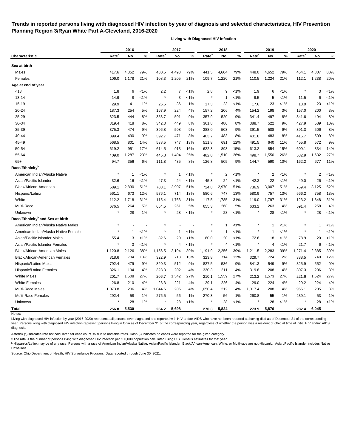# **Trends in reported persons living with diagnosed HIV infection by year of diagnosis and selected characteristics, HIV Prevention Planning Region 3/Ryan White Part A-Cleveland, 2016-2020**

**Living with Diagnosed HIV Infection**

|                                              |                   | 2016  |       |                   | 2017           |         |                   | 2018           |         |                   | 2019           |         |                   | 2020  |         |
|----------------------------------------------|-------------------|-------|-------|-------------------|----------------|---------|-------------------|----------------|---------|-------------------|----------------|---------|-------------------|-------|---------|
| <b>Characteristic</b>                        | Rate <sup>a</sup> | No.   | %     | Rate <sup>a</sup> | No.            | %       | Rate <sup>a</sup> | No.            | %       | Rate <sup>a</sup> | No.            | %       | Rate <sup>a</sup> | No.   | %       |
| Sex at birth                                 |                   |       |       |                   |                |         |                   |                |         |                   |                |         |                   |       |         |
| Males                                        | 417.6             | 4,352 | 79%   | 430.5             | 4,493          | 79%     | 441.5             | 4,604          | 79%     | 448.0             | 4,652          | 79%     | 464.1             | 4,807 | 80%     |
| Females                                      | 106.0             | 1,178 | 21%   | 108.3             | 1,205          | 21%     | 109.7             | 1,220          | 21%     | 110.5             | 1,224          | 21%     | 112.1             | 1,238 | 20%     |
| Age at end of year                           |                   |       |       |                   |                |         |                   |                |         |                   |                |         |                   |       |         |
| <13                                          | 1.8               | 6     | $1\%$ | 2.2               | $\overline{7}$ | $< 1\%$ | 2.8               | 9              | $1\%$   | 1.9               | 6              | $1\%$   |                   | 3     | $1\%$   |
| $13 - 14$                                    | 14.9              | 8     | $1\%$ | $\ast$            | 3              | $1\%$   |                   | -1             | 1%      | 9.5               | 5              | $1\%$   | 11.5              | 6     | $< 1\%$ |
| $15 - 19$                                    | 29.9              | 41    | 1%    | 26.6              | 36             | $1\%$   | 17.3              | 23             | $< 1\%$ | 17.6              | 23             | $1\%$   | 18.0              | 23    | $< 1\%$ |
| 20-24                                        | 187.3             | 254   | 5%    | 167.9             | 224            | 4%      | 157.2             | 206            | 4%      | 154.2             | 198            | 3%      | 157.0             | 200   | 3%      |
| 25-29                                        | 323.5             | 444   | 8%    | 353.7             | 501            | 9%      | 357.9             | 520            | 9%      | 341.4             | 497            | 8%      | 341.6             | 494   | 8%      |
| 30-34                                        | 319.4             | 418   | 8%    | 342.3             | 449            | 8%      | 361.8             | 480            | 8%      | 388.7             | 522            | 9%      | 427.9             | 589   | 10%     |
| 35-39                                        | 375.3             | 474   | 9%    | 396.8             | 508            | 9%      | 388.0             | 503            | 9%      | 391.5             | 508            | 9%      | 391.3             | 506   | 8%      |
| 40-44                                        | 399.4             | 490   | 9%    | 392.7             | 471            | 8%      | 403.7             | 483            | 8%      | 401.6             | 483            | 8%      | 416.7             | 509   | 8%      |
| 45-49                                        | 568.5             | 801   | 14%   | 538.5             | 747            | 13%     | 511.8             | 691            | 12%     | 491.5             | 640            | 11%     | 455.8             | 572   | 9%      |
| 50-54                                        | 619.2             | 951   | 17%   | 614.5             | 913            | 16%     | 622.3             | 893            | 15%     | 613.2             | 854            | 15%     | 609.1             | 834   | 14%     |
| 55-64                                        | 409.0             | 1,287 | 23%   | 445.8             | 1,404          | 25%     | 482.0             | 1,510          | 26%     | 498.7             | 1,550          | 26%     | 532.9             | 1,632 | 27%     |
| $65+$                                        | 94.7              | 356   | 6%    | 111.8             | 435            | 8%      | 126.8             | 505            | 9%      | 144.7             | 590            | 10%     | 162.2             | 677   | 11%     |
| Race/Ethnicity <sup>b</sup>                  |                   |       |       |                   |                |         |                   |                |         |                   |                |         |                   |       |         |
| American Indian/Alaska Native                |                   | 1     | $1\%$ | $\ast$            | $\mathbf 1$    | $< 1\%$ |                   | $\overline{2}$ | $< 1\%$ |                   | $\overline{2}$ | $< 1\%$ |                   | 2     | $< 1\%$ |
| Asian/Pacific Islander                       | 32.6              | 16    | $1\%$ | 47.3              | 24             | $1\%$   | 45.8              | 24             | $< 1\%$ | 42.3              | 22             | $< 1\%$ | 49.0              | 26    | $< 1\%$ |
| Black/African-American                       | 689.1             | 2,830 | 51%   | 708.1             | 2,907          | 51%     | 724.8             | 2,970          | 51%     | 736.9             | 3,007          | 51%     | 769.4             | 3,125 | 52%     |
| Hispanic/Latinx                              | 561.1             | 673   | 12%   | 576.1             | 714            | 13%     | 580.6             | 747            | 13%     | 580.9             | 757            | 13%     | 566.2             | 758   | 13%     |
| White                                        | 112.2             | 1,718 | 31%   | 115.4             | 1,763          | 31%     | 117.5             | 1,785          | 31%     | 119.0             | 1,797          | 31%     | 123.2             | 1,848 | 31%     |
| Multi-Race                                   | 676.5             | 264   | 5%    | 654.5             | 261            | 5%      | 655.3             | 268            | 5%      | 633.2             | 263            | 4%      | 591.4             | 258   | 4%      |
| Unknown                                      | $\star$           | 28    | $1\%$ |                   | 28             | $1\%$   |                   | 28             | $< 1\%$ |                   | 28             | $< 1\%$ |                   | 28    | $< 1\%$ |
| Race/Ethnicity <sup>b</sup> and Sex at birth |                   |       |       |                   |                |         |                   |                |         |                   |                |         |                   |       |         |
| American Indian/Alaska Native Males          | $\ast$            |       |       |                   |                |         |                   | -1             | 1%      |                   | 1              | $< 1\%$ |                   | 1     | $< 1\%$ |
| American Indian/Alaska Native Females        |                   | 1     | 1%    |                   | 1              | $< 1\%$ |                   | 1              | 1%      |                   | -1             | $1\%$   |                   | 1     | $< 1\%$ |
| Asian/Pacific Islander Males                 | 55.4              | 13    | $1\%$ | 82.6              | 20             | $< 1\%$ | 80.0              | 20             | $< 1\%$ | 72.6              | 18             | $1\%$   | 78.9              | 20    | $< 1\%$ |
| Asian/Pacific Islander Females               |                   | 3     | $1\%$ | $\ast$            | 4              | $< 1\%$ |                   | 4              | $1\%$   |                   | 4              | $1\%$   | 21.7              | 6     | $< 1\%$ |
| Black/African-American Males                 | 1,120.8           | 2,126 | 38%   | 1,156.5           | 2,194          | 39%     | 1,191.9           | 2,256          | 39%     | 1,211.5           | 2,283          | 39%     | 1,271.4           | 2,385 | 39%     |
| Black/African-American Females               | 318.6             | 704   | 13%   | 322.9             | 713            | 13%     | 323.8             | 714            | 12%     | 329.7             | 724            | 12%     | 338.5             | 740   | 12%     |
| Hispanic/Latino Males                        | 792.4             | 479   | 9%    | 820.3             | 512            | 9%      | 827.5             | 536            | 9%      | 841.3             | 549            | 9%      | 825.9             | 552   | 9%      |
| Hispanic/Latina Females                      | 326.1             | 194   | 4%    | 328.3             | 202            | 4%      | 330.3             | 211            | 4%      | 319.8             | 208            | 4%      | 307.3             | 206   | 3%      |
| <b>White Males</b>                           | 201.7             | 1,508 | 27%   | 206.7             | 1,542          | 27%     | 210.1             | 1,559          | 27%     | 213.2             | 1,573          | 27%     | 221.6             | 1,624 | 27%     |
| <b>White Females</b>                         | 26.8              | 210   | 4%    | 28.3              | 221            | 4%      | 29.1              | 226            | 4%      | 29.0              | 224            | 4%      | 29.2              | 224   | 4%      |
| Multi-Race Males                             | 1,073.8           | 206   | 4%    | 1,044.6           | 205            | 4%      | 1,050.4           | 212            | 4%      | 1,017.4           | 208            | 4%      | 955.1             | 205   | 3%      |
| Multi-Race Females                           | 292.4             | 58    | 1%    | 276.5             | 56             | $1\%$   | 270.3             | 56             | 1%      | 260.8             | 55             | 1%      | 239.1             | 53    | 1%      |
| Unknown                                      |                   | 28    | 1%    | $\star$           | 28             | $< 1\%$ |                   | 28             | $< 1\%$ |                   | 28             | $1\%$   |                   | 28    | $< 1\%$ |
| <b>Total</b>                                 | 256.8             | 5,530 |       | 264.2             | 5,698          |         | 270.3             | 5,824          |         | 273.9             | 5,876          |         | 282.4             | 6,045 |         |
| Notes:                                       |                   |       |       |                   |                |         |                   |                |         |                   |                |         |                   |       |         |

Living with diagnosed HIV infection by year (2016-2020) represents all persons ever diagnosed and reported with HIV and/or AIDS who have not been reported as having died as of December 31 of the corresponding year. Persons living with diagnosed HIV infection represent persons living in Ohio as of December 31 of the corresponding year, regardless of whether the person was a resident of Ohio at time of initial HIV and/or AIDS diagnosis.

Asterisk (\*) indicates rate not calculated for case count <5 due to unstable rates. Dash (-) indicates no cases were reported for the given category.

a The rate is the number of persons living with diagnosed HIV infection per 100,000 population calculated using U.S. Census estimates for that year.

**b** Hispanics/Latinx may be of any race. Persons with a race of American Indian/Alaska Native, Asian/Pacific Islander, Black/African-American, White, or Multi-race are not-Hispanic. Asian/Pacific Islander includes Native Hawaiians.